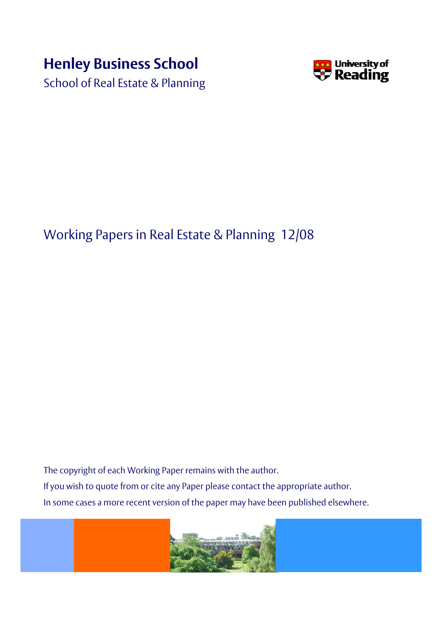# **Henley Business School**

School of Real Estate & Planning



# Working Papers in Real Estate & Planning 12/08

The copyright of each Working Paper remains with the author. If you wish to quote from or cite any Paper please contact the appropriate author. In some cases a more recent version of the paper may have been published elsewhere.

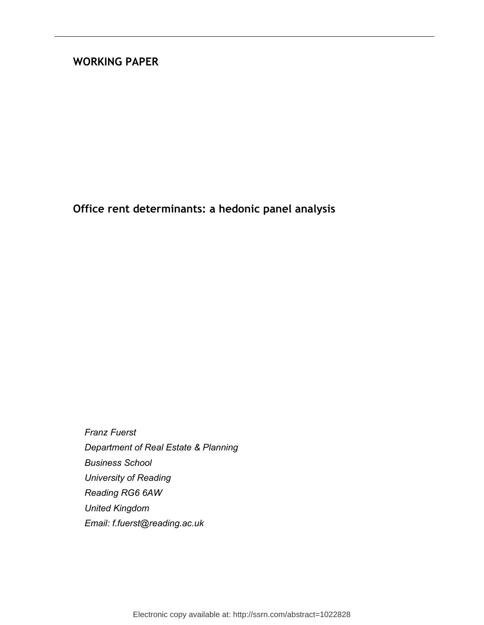# WORKING PAPER

Office rent determinants: a hedonic panel analysis

Franz Fuerst Department of Real Estate & Planning Business School University of Reading Reading RG6 6AW United Kingdom Email: f.fuerst@reading.ac.uk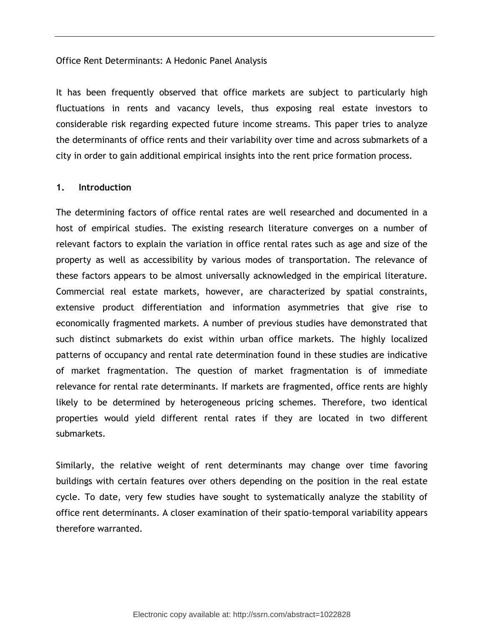#### Office Rent Determinants: A Hedonic Panel Analysis

It has been frequently observed that office markets are subject to particularly high fluctuations in rents and vacancy levels, thus exposing real estate investors to considerable risk regarding expected future income streams. This paper tries to analyze the determinants of office rents and their variability over time and across submarkets of a city in order to gain additional empirical insights into the rent price formation process.

#### 1. Introduction

The determining factors of office rental rates are well researched and documented in a host of empirical studies. The existing research literature converges on a number of relevant factors to explain the variation in office rental rates such as age and size of the property as well as accessibility by various modes of transportation. The relevance of these factors appears to be almost universally acknowledged in the empirical literature. Commercial real estate markets, however, are characterized by spatial constraints, extensive product differentiation and information asymmetries that give rise to economically fragmented markets. A number of previous studies have demonstrated that such distinct submarkets do exist within urban office markets. The highly localized patterns of occupancy and rental rate determination found in these studies are indicative of market fragmentation. The question of market fragmentation is of immediate relevance for rental rate determinants. If markets are fragmented, office rents are highly likely to be determined by heterogeneous pricing schemes. Therefore, two identical properties would yield different rental rates if they are located in two different submarkets.

Similarly, the relative weight of rent determinants may change over time favoring buildings with certain features over others depending on the position in the real estate cycle. To date, very few studies have sought to systematically analyze the stability of office rent determinants. A closer examination of their spatio-temporal variability appears therefore warranted.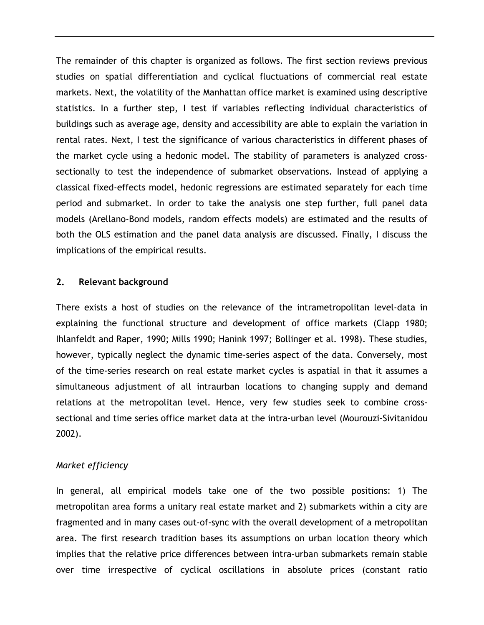The remainder of this chapter is organized as follows. The first section reviews previous studies on spatial differentiation and cyclical fluctuations of commercial real estate markets. Next, the volatility of the Manhattan office market is examined using descriptive statistics. In a further step, I test if variables reflecting individual characteristics of buildings such as average age, density and accessibility are able to explain the variation in rental rates. Next, I test the significance of various characteristics in different phases of the market cycle using a hedonic model. The stability of parameters is analyzed crosssectionally to test the independence of submarket observations. Instead of applying a classical fixed-effects model, hedonic regressions are estimated separately for each time period and submarket. In order to take the analysis one step further, full panel data models (Arellano-Bond models, random effects models) are estimated and the results of both the OLS estimation and the panel data analysis are discussed. Finally, I discuss the implications of the empirical results.

## 2. Relevant background

There exists a host of studies on the relevance of the intrametropolitan level-data in explaining the functional structure and development of office markets (Clapp 1980; Ihlanfeldt and Raper, 1990; Mills 1990; Hanink 1997; Bollinger et al. 1998). These studies, however, typically neglect the dynamic time-series aspect of the data. Conversely, most of the time-series research on real estate market cycles is aspatial in that it assumes a simultaneous adjustment of all intraurban locations to changing supply and demand relations at the metropolitan level. Hence, very few studies seek to combine crosssectional and time series office market data at the intra-urban level (Mourouzi-Sivitanidou 2002).

## Market efficiency

In general, all empirical models take one of the two possible positions: 1) The metropolitan area forms a unitary real estate market and 2) submarkets within a city are fragmented and in many cases out-of-sync with the overall development of a metropolitan area. The first research tradition bases its assumptions on urban location theory which implies that the relative price differences between intra-urban submarkets remain stable over time irrespective of cyclical oscillations in absolute prices (constant ratio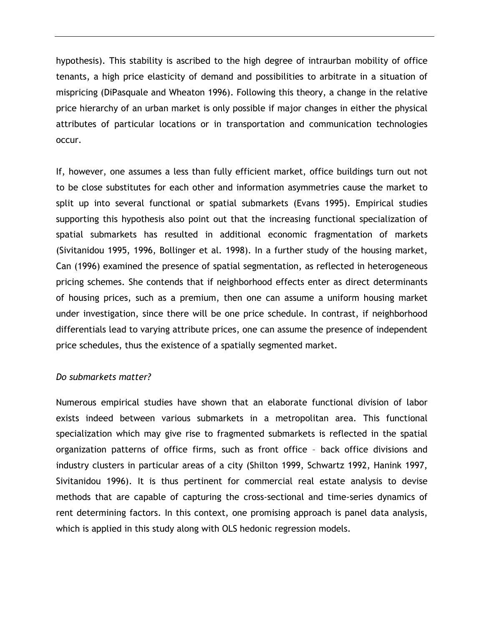hypothesis). This stability is ascribed to the high degree of intraurban mobility of office tenants, a high price elasticity of demand and possibilities to arbitrate in a situation of mispricing (DiPasquale and Wheaton 1996). Following this theory, a change in the relative price hierarchy of an urban market is only possible if major changes in either the physical attributes of particular locations or in transportation and communication technologies occur.

If, however, one assumes a less than fully efficient market, office buildings turn out not to be close substitutes for each other and information asymmetries cause the market to split up into several functional or spatial submarkets (Evans 1995). Empirical studies supporting this hypothesis also point out that the increasing functional specialization of spatial submarkets has resulted in additional economic fragmentation of markets (Sivitanidou 1995, 1996, Bollinger et al. 1998). In a further study of the housing market, Can (1996) examined the presence of spatial segmentation, as reflected in heterogeneous pricing schemes. She contends that if neighborhood effects enter as direct determinants of housing prices, such as a premium, then one can assume a uniform housing market under investigation, since there will be one price schedule. In contrast, if neighborhood differentials lead to varying attribute prices, one can assume the presence of independent price schedules, thus the existence of a spatially segmented market.

#### Do submarkets matter?

Numerous empirical studies have shown that an elaborate functional division of labor exists indeed between various submarkets in a metropolitan area. This functional specialization which may give rise to fragmented submarkets is reflected in the spatial organization patterns of office firms, such as front office – back office divisions and industry clusters in particular areas of a city (Shilton 1999, Schwartz 1992, Hanink 1997, Sivitanidou 1996). It is thus pertinent for commercial real estate analysis to devise methods that are capable of capturing the cross-sectional and time-series dynamics of rent determining factors. In this context, one promising approach is panel data analysis, which is applied in this study along with OLS hedonic regression models.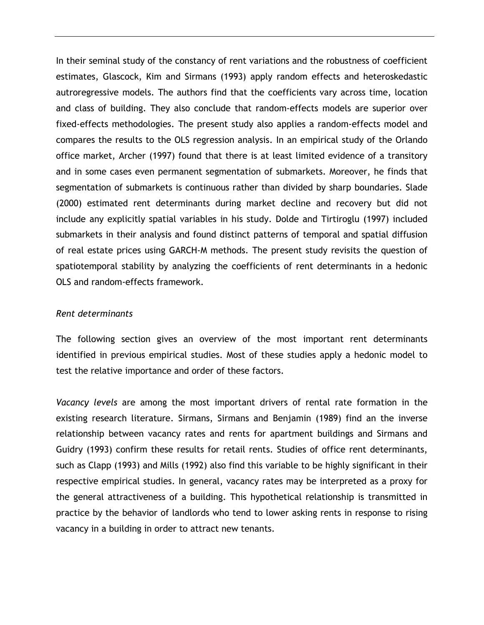In their seminal study of the constancy of rent variations and the robustness of coefficient estimates, Glascock, Kim and Sirmans (1993) apply random effects and heteroskedastic autroregressive models. The authors find that the coefficients vary across time, location and class of building. They also conclude that random-effects models are superior over fixed-effects methodologies. The present study also applies a random-effects model and compares the results to the OLS regression analysis. In an empirical study of the Orlando office market, Archer (1997) found that there is at least limited evidence of a transitory and in some cases even permanent segmentation of submarkets. Moreover, he finds that segmentation of submarkets is continuous rather than divided by sharp boundaries. Slade (2000) estimated rent determinants during market decline and recovery but did not include any explicitly spatial variables in his study. Dolde and Tirtiroglu (1997) included submarkets in their analysis and found distinct patterns of temporal and spatial diffusion of real estate prices using GARCH-M methods. The present study revisits the question of spatiotemporal stability by analyzing the coefficients of rent determinants in a hedonic OLS and random-effects framework.

### Rent determinants

The following section gives an overview of the most important rent determinants identified in previous empirical studies. Most of these studies apply a hedonic model to test the relative importance and order of these factors.

Vacancy levels are among the most important drivers of rental rate formation in the existing research literature. Sirmans, Sirmans and Benjamin (1989) find an the inverse relationship between vacancy rates and rents for apartment buildings and Sirmans and Guidry (1993) confirm these results for retail rents. Studies of office rent determinants, such as Clapp (1993) and Mills (1992) also find this variable to be highly significant in their respective empirical studies. In general, vacancy rates may be interpreted as a proxy for the general attractiveness of a building. This hypothetical relationship is transmitted in practice by the behavior of landlords who tend to lower asking rents in response to rising vacancy in a building in order to attract new tenants.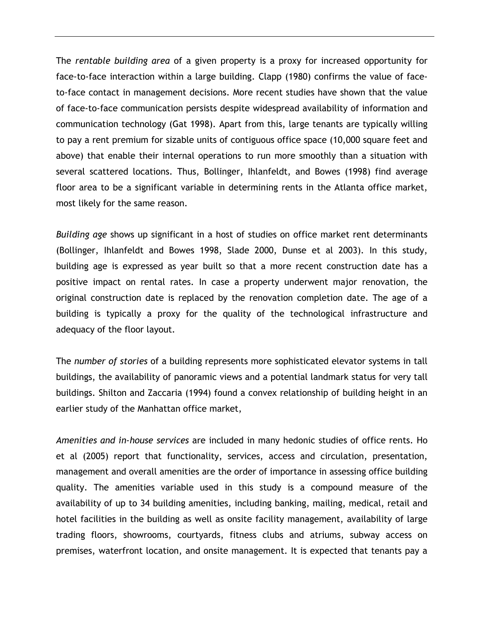The rentable building area of a given property is a proxy for increased opportunity for face-to-face interaction within a large building. Clapp (1980) confirms the value of faceto-face contact in management decisions. More recent studies have shown that the value of face-to-face communication persists despite widespread availability of information and communication technology (Gat 1998). Apart from this, large tenants are typically willing to pay a rent premium for sizable units of contiguous office space (10,000 square feet and above) that enable their internal operations to run more smoothly than a situation with several scattered locations. Thus, Bollinger, Ihlanfeldt, and Bowes (1998) find average floor area to be a significant variable in determining rents in the Atlanta office market, most likely for the same reason.

Building age shows up significant in a host of studies on office market rent determinants (Bollinger, Ihlanfeldt and Bowes 1998, Slade 2000, Dunse et al 2003). In this study, building age is expressed as year built so that a more recent construction date has a positive impact on rental rates. In case a property underwent major renovation, the original construction date is replaced by the renovation completion date. The age of a building is typically a proxy for the quality of the technological infrastructure and adequacy of the floor layout.

The number of stories of a building represents more sophisticated elevator systems in tall buildings, the availability of panoramic views and a potential landmark status for very tall buildings. Shilton and Zaccaria (1994) found a convex relationship of building height in an earlier study of the Manhattan office market,

Amenities and in-house services are included in many hedonic studies of office rents. Ho et al (2005) report that functionality, services, access and circulation, presentation, management and overall amenities are the order of importance in assessing office building quality. The amenities variable used in this study is a compound measure of the availability of up to 34 building amenities, including banking, mailing, medical, retail and hotel facilities in the building as well as onsite facility management, availability of large trading floors, showrooms, courtyards, fitness clubs and atriums, subway access on premises, waterfront location, and onsite management. It is expected that tenants pay a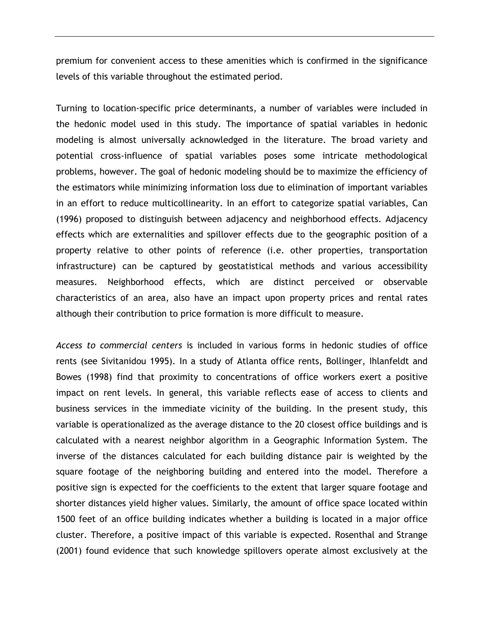premium for convenient access to these amenities which is confirmed in the significance levels of this variable throughout the estimated period.

Turning to location-specific price determinants, a number of variables were included in the hedonic model used in this study. The importance of spatial variables in hedonic modeling is almost universally acknowledged in the literature. The broad variety and potential cross-influence of spatial variables poses some intricate methodological problems, however. The goal of hedonic modeling should be to maximize the efficiency of the estimators while minimizing information loss due to elimination of important variables in an effort to reduce multicollinearity. In an effort to categorize spatial variables, Can (1996) proposed to distinguish between adjacency and neighborhood effects. Adjacency effects which are externalities and spillover effects due to the geographic position of a property relative to other points of reference (i.e. other properties, transportation infrastructure) can be captured by geostatistical methods and various accessibility measures. Neighborhood effects, which are distinct perceived or observable characteristics of an area, also have an impact upon property prices and rental rates although their contribution to price formation is more difficult to measure.

Access to commercial centers is included in various forms in hedonic studies of office rents (see Sivitanidou 1995). In a study of Atlanta office rents, Bollinger, Ihlanfeldt and Bowes (1998) find that proximity to concentrations of office workers exert a positive impact on rent levels. In general, this variable reflects ease of access to clients and business services in the immediate vicinity of the building. In the present study, this variable is operationalized as the average distance to the 20 closest office buildings and is calculated with a nearest neighbor algorithm in a Geographic Information System. The inverse of the distances calculated for each building distance pair is weighted by the square footage of the neighboring building and entered into the model. Therefore a positive sign is expected for the coefficients to the extent that larger square footage and shorter distances yield higher values. Similarly, the amount of office space located within 1500 feet of an office building indicates whether a building is located in a major office cluster. Therefore, a positive impact of this variable is expected. Rosenthal and Strange (2001) found evidence that such knowledge spillovers operate almost exclusively at the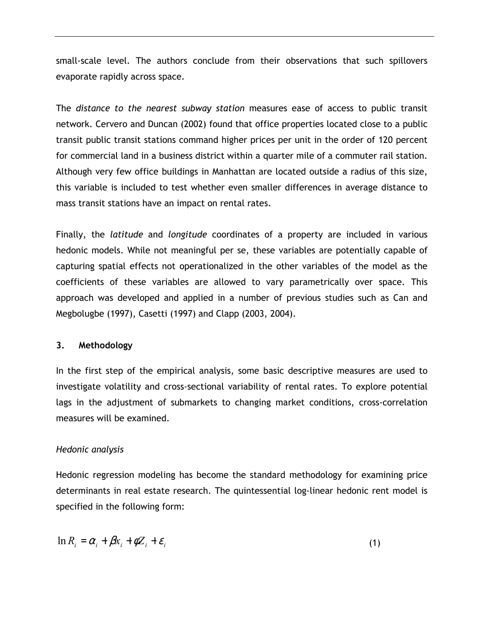small-scale level. The authors conclude from their observations that such spillovers evaporate rapidly across space.

The distance to the nearest subway station measures ease of access to public transit network. Cervero and Duncan (2002) found that office properties located close to a public transit public transit stations command higher prices per unit in the order of 120 percent for commercial land in a business district within a quarter mile of a commuter rail station. Although very few office buildings in Manhattan are located outside a radius of this size, this variable is included to test whether even smaller differences in average distance to mass transit stations have an impact on rental rates.

Finally, the latitude and longitude coordinates of a property are included in various hedonic models. While not meaningful per se, these variables are potentially capable of capturing spatial effects not operationalized in the other variables of the model as the coefficients of these variables are allowed to vary parametrically over space. This approach was developed and applied in a number of previous studies such as Can and Megbolugbe (1997), Casetti (1997) and Clapp (2003, 2004).

## 3. Methodology

In the first step of the empirical analysis, some basic descriptive measures are used to investigate volatility and cross-sectional variability of rental rates. To explore potential lags in the adjustment of submarkets to changing market conditions, cross-correlation measures will be examined.

## Hedonic analysis

Hedonic regression modeling has become the standard methodology for examining price determinants in real estate research. The quintessential log-linear hedonic rent model is specified in the following form:

$$
\ln R_i = \alpha_i + \beta x_i + \phi Z_i + \varepsilon_i \tag{1}
$$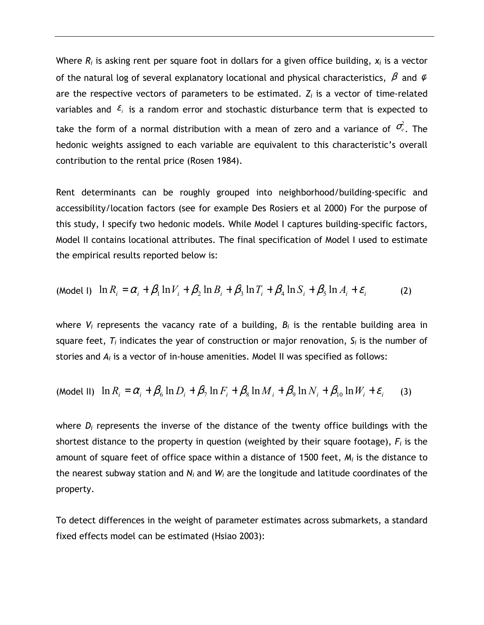Where  $R_i$  is asking rent per square foot in dollars for a given office building,  $x_i$  is a vector of the natural log of several explanatory locational and physical characteristics,  $\beta$  and  $\phi$ are the respective vectors of parameters to be estimated.  $Z_i$  is a vector of time-related variables and  $\mathcal{E}_i$  is a random error and stochastic disturbance term that is expected to take the form of a normal distribution with a mean of zero and a variance of  $\sigma_e^2$ . The hedonic weights assigned to each variable are equivalent to this characteristic's overall contribution to the rental price (Rosen 1984).

Rent determinants can be roughly grouped into neighborhood/building-specific and accessibility/location factors (see for example Des Rosiers et al 2000) For the purpose of this study, I specify two hedonic models. While Model I captures building-specific factors, Model II contains locational attributes. The final specification of Model I used to estimate the empirical results reported below is:

$$
\text{(Model I)} \quad \ln R_i = \alpha_i + \beta_1 \ln V_i + \beta_2 \ln B_i + \beta_3 \ln T_i + \beta_4 \ln S_i + \beta_5 \ln A_i + \varepsilon_i \tag{2}
$$

where  $V_i$  represents the vacancy rate of a building,  $B_i$  is the rentable building area in square feet,  $T_i$  indicates the year of construction or major renovation,  $S_i$  is the number of stories and  $A_i$  is a vector of in-house amenities. Model II was specified as follows:

$$
\text{(Model II)} \quad \ln R_i = \alpha_i + \beta_6 \ln D_i + \beta_7 \ln F_i + \beta_8 \ln M_i + \beta_9 \ln N_i + \beta_{10} \ln W_i + \varepsilon_i \tag{3}
$$

where  $D_i$  represents the inverse of the distance of the twenty office buildings with the shortest distance to the property in question (weighted by their square footage),  $F_i$  is the amount of square feet of office space within a distance of 1500 feet,  $M_i$  is the distance to the nearest subway station and  $N_i$  and  $W_i$  are the longitude and latitude coordinates of the property.

To detect differences in the weight of parameter estimates across submarkets, a standard fixed effects model can be estimated (Hsiao 2003):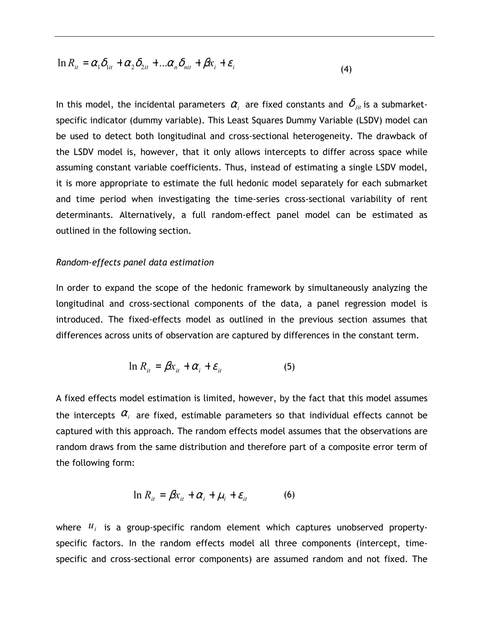$$
\ln R_{it} = \alpha_1 \delta_{1it} + \alpha_2 \delta_{2it} + ... \alpha_n \delta_{nit} + \beta x_i + \varepsilon_i
$$
\n(4)

In this model, the incidental parameters  $\alpha_{_i}$  are fixed constants and  $\delta_{_{jit}}$ is a submarketspecific indicator (dummy variable). This Least Squares Dummy Variable (LSDV) model can be used to detect both longitudinal and cross-sectional heterogeneity. The drawback of the LSDV model is, however, that it only allows intercepts to differ across space while assuming constant variable coefficients. Thus, instead of estimating a single LSDV model, it is more appropriate to estimate the full hedonic model separately for each submarket and time period when investigating the time-series cross-sectional variability of rent determinants. Alternatively, a full random-effect panel model can be estimated as outlined in the following section.

#### Random-effects panel data estimation

In order to expand the scope of the hedonic framework by simultaneously analyzing the longitudinal and cross-sectional components of the data, a panel regression model is introduced. The fixed-effects model as outlined in the previous section assumes that differences across units of observation are captured by differences in the constant term.

$$
\ln R_{it} = \beta x_{it} + \alpha_i + \varepsilon_{it} \tag{5}
$$

A fixed effects model estimation is limited, however, by the fact that this model assumes the intercepts  $\alpha_i$  are fixed, estimable parameters so that individual effects cannot be captured with this approach. The random effects model assumes that the observations are random draws from the same distribution and therefore part of a composite error term of the following form:

$$
\ln R_{it} = \beta x_{it} + \alpha_i + \mu_i + \varepsilon_{it} \tag{6}
$$

where  $u_i$  is a group-specific random element which captures unobserved propertyspecific factors. In the random effects model all three components (intercept, timespecific and cross-sectional error components) are assumed random and not fixed. The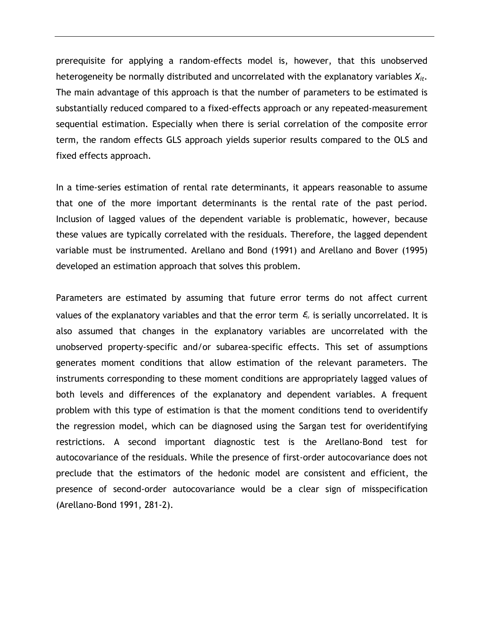prerequisite for applying a random-effects model is, however, that this unobserved heterogeneity be normally distributed and uncorrelated with the explanatory variables  $X_{it}$ . The main advantage of this approach is that the number of parameters to be estimated is substantially reduced compared to a fixed-effects approach or any repeated-measurement sequential estimation. Especially when there is serial correlation of the composite error term, the random effects GLS approach yields superior results compared to the OLS and fixed effects approach.

In a time-series estimation of rental rate determinants, it appears reasonable to assume that one of the more important determinants is the rental rate of the past period. Inclusion of lagged values of the dependent variable is problematic, however, because these values are typically correlated with the residuals. Therefore, the lagged dependent variable must be instrumented. Arellano and Bond (1991) and Arellano and Bover (1995) developed an estimation approach that solves this problem.

Parameters are estimated by assuming that future error terms do not affect current values of the explanatory variables and that the error term  $\mathcal{E}_{i}$  is serially uncorrelated. It is also assumed that changes in the explanatory variables are uncorrelated with the unobserved property-specific and/or subarea-specific effects. This set of assumptions generates moment conditions that allow estimation of the relevant parameters. The instruments corresponding to these moment conditions are appropriately lagged values of both levels and differences of the explanatory and dependent variables. A frequent problem with this type of estimation is that the moment conditions tend to overidentify the regression model, which can be diagnosed using the Sargan test for overidentifying restrictions. A second important diagnostic test is the Arellano-Bond test for autocovariance of the residuals. While the presence of first-order autocovariance does not preclude that the estimators of the hedonic model are consistent and efficient, the presence of second-order autocovariance would be a clear sign of misspecification (Arellano-Bond 1991, 281-2).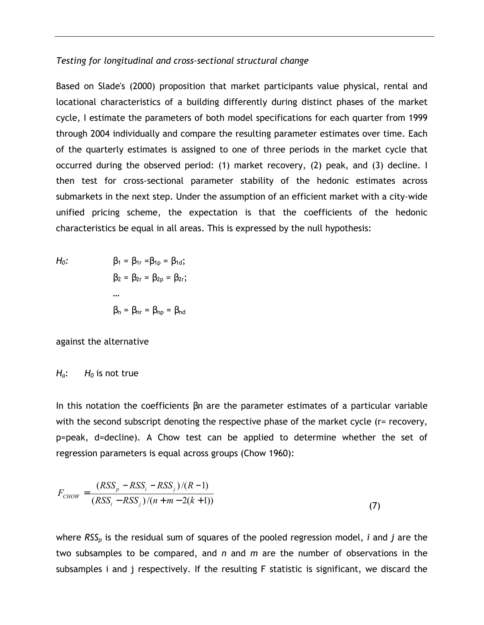#### Testing for longitudinal and cross-sectional structural change

Based on Slade's (2000) proposition that market participants value physical, rental and locational characteristics of a building differently during distinct phases of the market cycle, I estimate the parameters of both model specifications for each quarter from 1999 through 2004 individually and compare the resulting parameter estimates over time. Each of the quarterly estimates is assigned to one of three periods in the market cycle that occurred during the observed period: (1) market recovery, (2) peak, and (3) decline. I then test for cross-sectional parameter stability of the hedonic estimates across submarkets in the next step. Under the assumption of an efficient market with a city-wide unified pricing scheme, the expectation is that the coefficients of the hedonic characteristics be equal in all areas. This is expressed by the null hypothesis:

$$
H_0: \qquad \beta_1 = \beta_{1r} = \beta_{1p} = \beta_{1d};
$$

$$
\beta_2 = \beta_{2r} = \beta_{2p} = \beta_{2r};
$$

$$
\dots
$$

$$
\beta_n = \beta_{nr} = \beta_{np} = \beta_{nd}
$$

against the alternative

#### $H_a$ :  $H_0$  is not true

In this notation the coefficients βn are the parameter estimates of a particular variable with the second subscript denoting the respective phase of the market cycle (r= recovery, p=peak, d=decline). A Chow test can be applied to determine whether the set of regression parameters is equal across groups (Chow 1960):

$$
F_{CHOW} = \frac{(RSS_p - RSS_i - RSS_j)/(R-1)}{(RSS_i - RSS_j)/(n + m - 2(k+1))}
$$
\n(7)

where  $RSS<sub>p</sub>$  is the residual sum of squares of the pooled regression model, *i* and *j* are the two subsamples to be compared, and  $n$  and  $m$  are the number of observations in the subsamples i and j respectively. If the resulting F statistic is significant, we discard the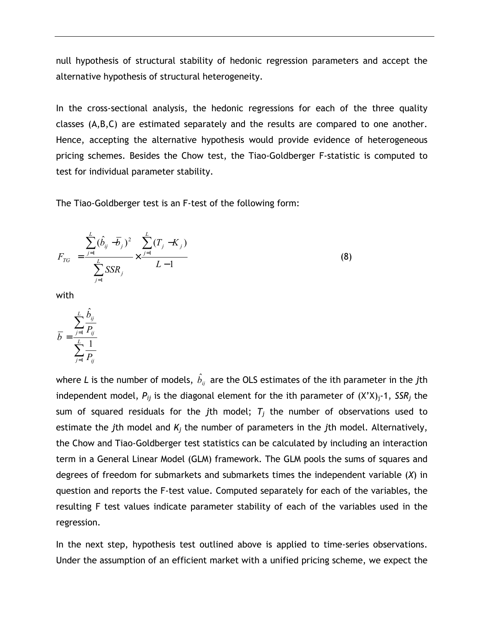null hypothesis of structural stability of hedonic regression parameters and accept the alternative hypothesis of structural heterogeneity.

In the cross-sectional analysis, the hedonic regressions for each of the three quality classes (A,B,C) are estimated separately and the results are compared to one another. Hence, accepting the alternative hypothesis would provide evidence of heterogeneous pricing schemes. Besides the Chow test, the Tiao-Goldberger F-statistic is computed to test for individual parameter stability.

The Tiao-Goldberger test is an F-test of the following form:

$$
F_{TG} = \frac{\sum_{j=1}^{L} (\hat{b}_{ij} - \overline{b}_{j})^2}{\sum_{j=1}^{L} SSR_j} \times \frac{\sum_{j=1}^{L} (T_j - K_j)}{L - 1}
$$
(8)

with

$$
\overline{b} = \frac{\sum_{j=1}^{L} \frac{\hat{b}_{ij}}{P_{ij}}}{\sum_{j=1}^{L} \frac{1}{P_{ij}}}
$$

where L is the number of models,  $\hat{b}_{ij}$  are the OLS estimates of the ith parameter in the  $j$ th independent model,  $P_{ij}$  is the diagonal element for the ith parameter of  $(X'X)_{i}$ -1, SSR<sub>i</sub> the sum of squared residuals for the jth model;  $T_j$  the number of observations used to estimate the jth model and  $K_i$  the number of parameters in the jth model. Alternatively, the Chow and Tiao-Goldberger test statistics can be calculated by including an interaction term in a General Linear Model (GLM) framework. The GLM pools the sums of squares and degrees of freedom for submarkets and submarkets times the independent variable (X) in question and reports the F-test value. Computed separately for each of the variables, the resulting F test values indicate parameter stability of each of the variables used in the regression.

In the next step, hypothesis test outlined above is applied to time-series observations. Under the assumption of an efficient market with a unified pricing scheme, we expect the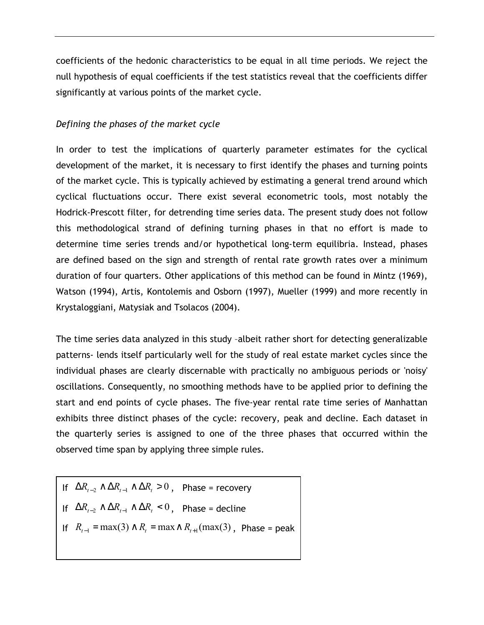coefficients of the hedonic characteristics to be equal in all time periods. We reject the null hypothesis of equal coefficients if the test statistics reveal that the coefficients differ significantly at various points of the market cycle.

## Defining the phases of the market cycle

In order to test the implications of quarterly parameter estimates for the cyclical development of the market, it is necessary to first identify the phases and turning points of the market cycle. This is typically achieved by estimating a general trend around which cyclical fluctuations occur. There exist several econometric tools, most notably the Hodrick-Prescott filter, for detrending time series data. The present study does not follow this methodological strand of defining turning phases in that no effort is made to determine time series trends and/or hypothetical long-term equilibria. Instead, phases are defined based on the sign and strength of rental rate growth rates over a minimum duration of four quarters. Other applications of this method can be found in Mintz (1969), Watson (1994), Artis, Kontolemis and Osborn (1997), Mueller (1999) and more recently in Krystaloggiani, Matysiak and Tsolacos (2004).

The time series data analyzed in this study –albeit rather short for detecting generalizable patterns- lends itself particularly well for the study of real estate market cycles since the individual phases are clearly discernable with practically no ambiguous periods or 'noisy' oscillations. Consequently, no smoothing methods have to be applied prior to defining the start and end points of cycle phases. The five-year rental rate time series of Manhattan exhibits three distinct phases of the cycle: recovery, peak and decline. Each dataset in the quarterly series is assigned to one of the three phases that occurred within the observed time span by applying three simple rules.

If  $\Delta R_{t-2} \wedge \Delta R_{t-1} \wedge \Delta R_t > 0$ , Phase = recovery If  $\Delta R_{t-2} \wedge \Delta R_{t-1} \wedge \Delta R_t < 0$ , Phase = decline If  $R_{t-1} = \max( 3) \wedge R_t = \max \wedge R_{t+1} (\max( 3) , \text{ Phase} = \text{peak} )$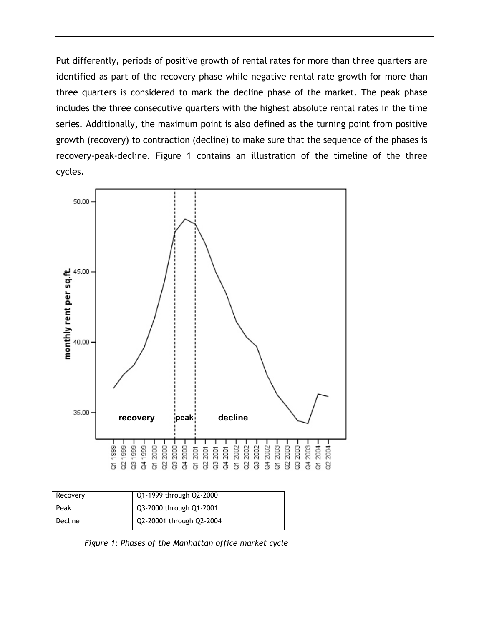Put differently, periods of positive growth of rental rates for more than three quarters are identified as part of the recovery phase while negative rental rate growth for more than three quarters is considered to mark the decline phase of the market. The peak phase includes the three consecutive quarters with the highest absolute rental rates in the time series. Additionally, the maximum point is also defined as the turning point from positive growth (recovery) to contraction (decline) to make sure that the sequence of the phases is recovery-peak-decline. Figure 1 contains an illustration of the timeline of the three cycles.



| Recovery | Q1-1999 through Q2-2000  |
|----------|--------------------------|
| Peak     | Q3-2000 through Q1-2001  |
| Decline  | Q2-20001 through Q2-2004 |

Figure 1: Phases of the Manhattan office market cycle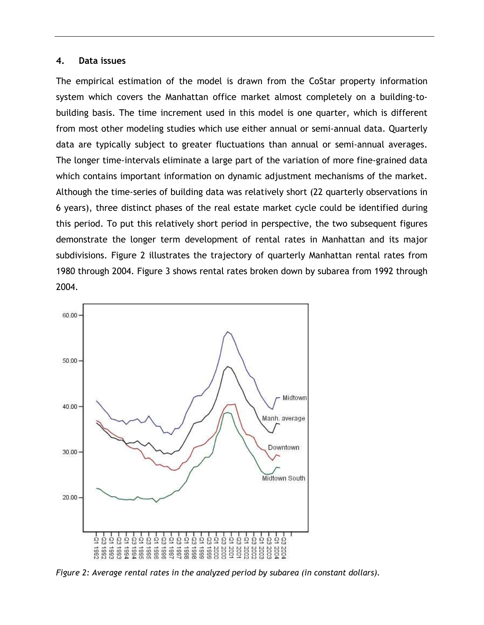#### 4. Data issues

The empirical estimation of the model is drawn from the CoStar property information system which covers the Manhattan office market almost completely on a building-tobuilding basis. The time increment used in this model is one quarter, which is different from most other modeling studies which use either annual or semi-annual data. Quarterly data are typically subject to greater fluctuations than annual or semi-annual averages. The longer time-intervals eliminate a large part of the variation of more fine-grained data which contains important information on dynamic adjustment mechanisms of the market. Although the time-series of building data was relatively short (22 quarterly observations in 6 years), three distinct phases of the real estate market cycle could be identified during this period. To put this relatively short period in perspective, the two subsequent figures demonstrate the longer term development of rental rates in Manhattan and its major subdivisions. Figure 2 illustrates the trajectory of quarterly Manhattan rental rates from 1980 through 2004. Figure 3 shows rental rates broken down by subarea from 1992 through 2004.



Figure 2: Average rental rates in the analyzed period by subarea (in constant dollars).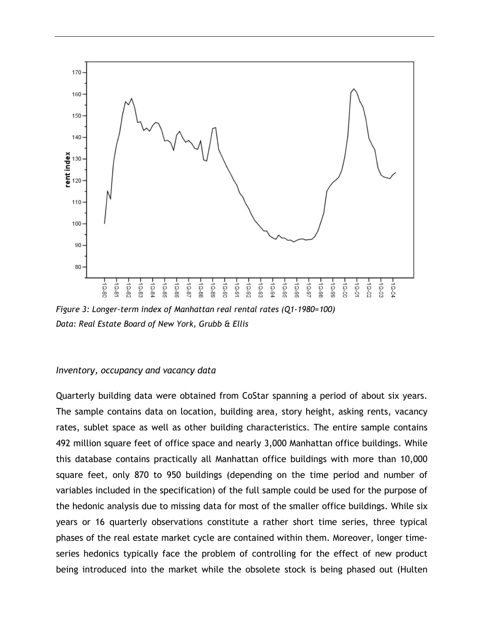

Figure 3: Longer-term index of Manhattan real rental rates (Q1-1980=100) Data: Real Estate Board of New York, Grubb & Ellis

#### Inventory, occupancy and vacancy data

Quarterly building data were obtained from CoStar spanning a period of about six years. The sample contains data on location, building area, story height, asking rents, vacancy rates, sublet space as well as other building characteristics. The entire sample contains 492 million square feet of office space and nearly 3,000 Manhattan office buildings. While this database contains practically all Manhattan office buildings with more than 10,000 square feet, only 870 to 950 buildings (depending on the time period and number of variables included in the specification) of the full sample could be used for the purpose of the hedonic analysis due to missing data for most of the smaller office buildings. While six years or 16 quarterly observations constitute a rather short time series, three typical phases of the real estate market cycle are contained within them. Moreover, longer timeseries hedonics typically face the problem of controlling for the effect of new product being introduced into the market while the obsolete stock is being phased out (Hulten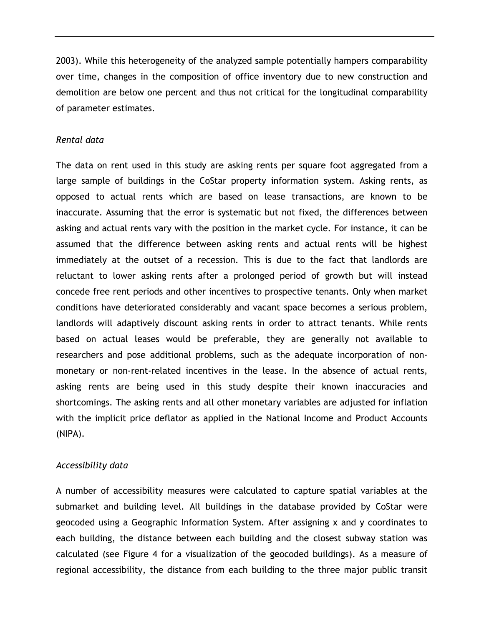2003). While this heterogeneity of the analyzed sample potentially hampers comparability over time, changes in the composition of office inventory due to new construction and demolition are below one percent and thus not critical for the longitudinal comparability of parameter estimates.

#### Rental data

The data on rent used in this study are asking rents per square foot aggregated from a large sample of buildings in the CoStar property information system. Asking rents, as opposed to actual rents which are based on lease transactions, are known to be inaccurate. Assuming that the error is systematic but not fixed, the differences between asking and actual rents vary with the position in the market cycle. For instance, it can be assumed that the difference between asking rents and actual rents will be highest immediately at the outset of a recession. This is due to the fact that landlords are reluctant to lower asking rents after a prolonged period of growth but will instead concede free rent periods and other incentives to prospective tenants. Only when market conditions have deteriorated considerably and vacant space becomes a serious problem, landlords will adaptively discount asking rents in order to attract tenants. While rents based on actual leases would be preferable, they are generally not available to researchers and pose additional problems, such as the adequate incorporation of nonmonetary or non-rent-related incentives in the lease. In the absence of actual rents, asking rents are being used in this study despite their known inaccuracies and shortcomings. The asking rents and all other monetary variables are adjusted for inflation with the implicit price deflator as applied in the National Income and Product Accounts (NIPA).

#### Accessibility data

A number of accessibility measures were calculated to capture spatial variables at the submarket and building level. All buildings in the database provided by CoStar were geocoded using a Geographic Information System. After assigning x and y coordinates to each building, the distance between each building and the closest subway station was calculated (see Figure 4 for a visualization of the geocoded buildings). As a measure of regional accessibility, the distance from each building to the three major public transit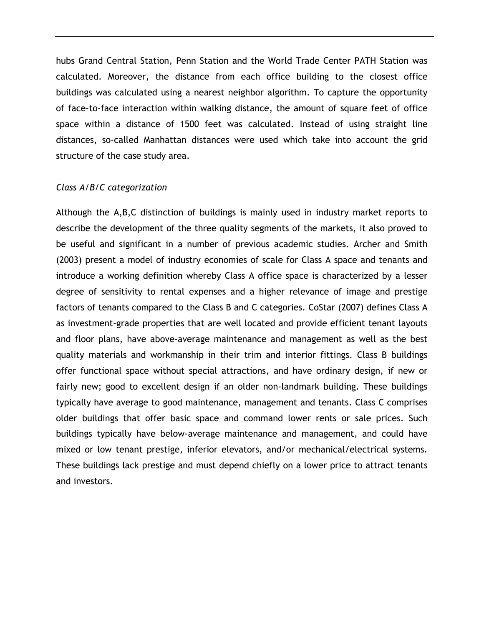hubs Grand Central Station, Penn Station and the World Trade Center PATH Station was calculated. Moreover, the distance from each office building to the closest office buildings was calculated using a nearest neighbor algorithm. To capture the opportunity of face-to-face interaction within walking distance, the amount of square feet of office space within a distance of 1500 feet was calculated. Instead of using straight line distances, so-called Manhattan distances were used which take into account the grid structure of the case study area.

#### Class A/B/C categorization

Although the A,B,C distinction of buildings is mainly used in industry market reports to describe the development of the three quality segments of the markets, it also proved to be useful and significant in a number of previous academic studies. Archer and Smith (2003) present a model of industry economies of scale for Class A space and tenants and introduce a working definition whereby Class A office space is characterized by a lesser degree of sensitivity to rental expenses and a higher relevance of image and prestige factors of tenants compared to the Class B and C categories. CoStar (2007) defines Class A as investment-grade properties that are well located and provide efficient tenant layouts and floor plans, have above-average maintenance and management as well as the best quality materials and workmanship in their trim and interior fittings. Class B buildings offer functional space without special attractions, and have ordinary design, if new or fairly new; good to excellent design if an older non-landmark building. These buildings typically have average to good maintenance, management and tenants. Class C comprises older buildings that offer basic space and command lower rents or sale prices. Such buildings typically have below-average maintenance and management, and could have mixed or low tenant prestige, inferior elevators, and/or mechanical/electrical systems. These buildings lack prestige and must depend chiefly on a lower price to attract tenants and investors.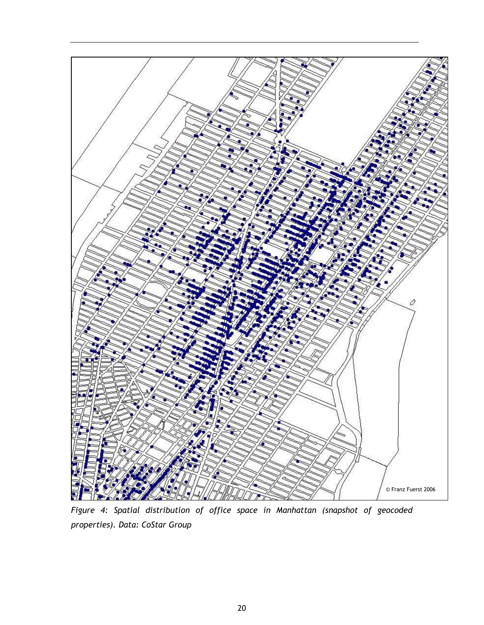

Figure 4: Spatial distribution of office space in Manhattan (snapshot of geocoded properties). Data: CoStar Group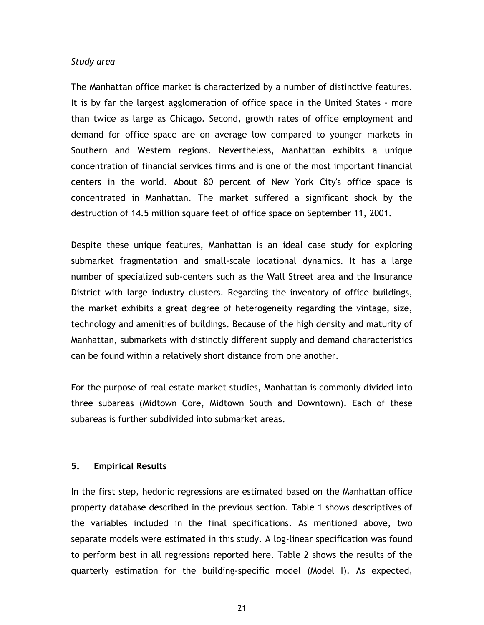#### Study area

The Manhattan office market is characterized by a number of distinctive features. It is by far the largest agglomeration of office space in the United States - more than twice as large as Chicago. Second, growth rates of office employment and demand for office space are on average low compared to younger markets in Southern and Western regions. Nevertheless, Manhattan exhibits a unique concentration of financial services firms and is one of the most important financial centers in the world. About 80 percent of New York City's office space is concentrated in Manhattan. The market suffered a significant shock by the destruction of 14.5 million square feet of office space on September 11, 2001.

Despite these unique features, Manhattan is an ideal case study for exploring submarket fragmentation and small-scale locational dynamics. It has a large number of specialized sub-centers such as the Wall Street area and the Insurance District with large industry clusters. Regarding the inventory of office buildings, the market exhibits a great degree of heterogeneity regarding the vintage, size, technology and amenities of buildings. Because of the high density and maturity of Manhattan, submarkets with distinctly different supply and demand characteristics can be found within a relatively short distance from one another.

For the purpose of real estate market studies, Manhattan is commonly divided into three subareas (Midtown Core, Midtown South and Downtown). Each of these subareas is further subdivided into submarket areas.

#### 5. Empirical Results

In the first step, hedonic regressions are estimated based on the Manhattan office property database described in the previous section. Table 1 shows descriptives of the variables included in the final specifications. As mentioned above, two separate models were estimated in this study. A log-linear specification was found to perform best in all regressions reported here. Table 2 shows the results of the quarterly estimation for the building-specific model (Model I). As expected,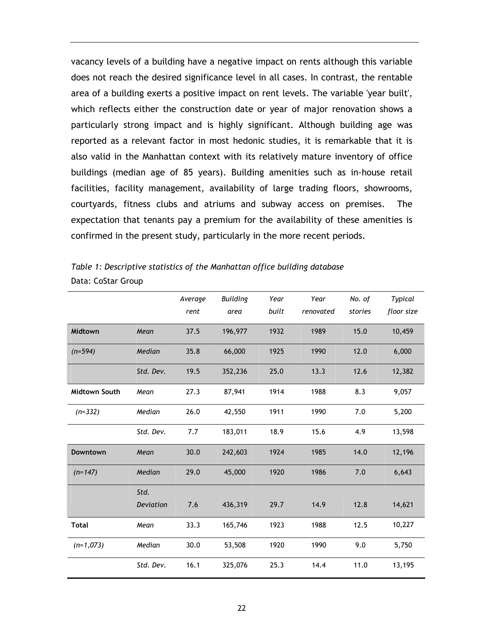vacancy levels of a building have a negative impact on rents although this variable does not reach the desired significance level in all cases. In contrast, the rentable area of a building exerts a positive impact on rent levels. The variable 'year built', which reflects either the construction date or year of major renovation shows a particularly strong impact and is highly significant. Although building age was reported as a relevant factor in most hedonic studies, it is remarkable that it is also valid in the Manhattan context with its relatively mature inventory of office buildings (median age of 85 years). Building amenities such as in-house retail facilities, facility management, availability of large trading floors, showrooms, courtyards, fitness clubs and atriums and subway access on premises. The expectation that tenants pay a premium for the availability of these amenities is confirmed in the present study, particularly in the more recent periods.

|                      |                   | Average<br>rent | <b>Building</b><br>area | Year<br>built | Year<br>renovated | No. of<br>stories | <b>Typical</b><br>floor size |
|----------------------|-------------------|-----------------|-------------------------|---------------|-------------------|-------------------|------------------------------|
| Midtown              | Mean              | 37.5            | 196,977                 | 1932          | 1989              | 15.0              | 10,459                       |
| $(n=594)$            | Median            | 35.8            | 66,000                  | 1925          | 1990              | 12.0              | 6,000                        |
|                      | Std. Dev.         | 19.5            | 352,236                 | 25.0          | 13.3              | 12.6              | 12,382                       |
| <b>Midtown South</b> | Mean              | 27.3            | 87,941                  | 1914          | 1988              | 8.3               | 9,057                        |
| $(n=332)$            | Median            | 26.0            | 42,550                  | 1911          | 1990              | 7.0               | 5,200                        |
|                      | Std. Dev.         | 7.7             | 183,011                 | 18.9          | 15.6              | 4.9               | 13,598                       |
| Downtown             | Mean              | 30.0            | 242,603                 | 1924          | 1985              | 14.0              | 12,196                       |
| $(n=147)$            | Median            | 29.0            | 45,000                  | 1920          | 1986              | 7.0               | 6,643                        |
|                      | Std.<br>Deviation | 7.6             | 436,319                 | 29.7          | 14.9              | 12.8              | 14,621                       |
|                      |                   |                 |                         |               |                   |                   |                              |
| Total                | Mean              | 33.3            | 165,746                 | 1923          | 1988              | 12.5              | 10,227                       |
| $(n=1,073)$          | Median            | 30.0            | 53,508                  | 1920          | 1990              | 9.0               | 5,750                        |
|                      | Std. Dev.         | 16.1            | 325,076                 | 25.3          | 14.4              | 11.0              | 13,195                       |

Table 1: Descriptive statistics of the Manhattan office building database Data: CoStar Group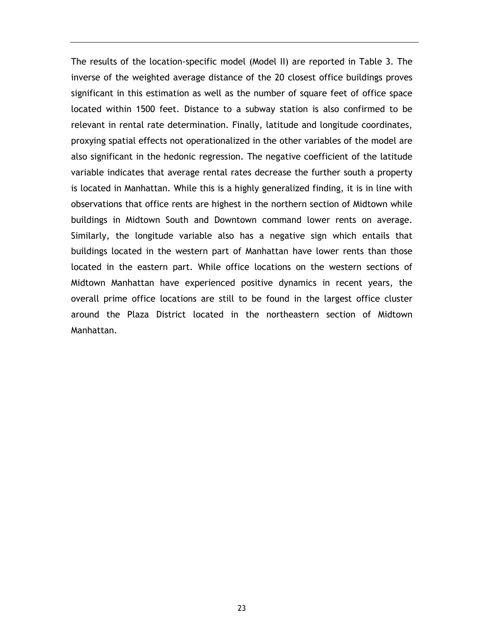The results of the location-specific model (Model II) are reported in Table 3. The inverse of the weighted average distance of the 20 closest office buildings proves significant in this estimation as well as the number of square feet of office space located within 1500 feet. Distance to a subway station is also confirmed to be relevant in rental rate determination. Finally, latitude and longitude coordinates, proxying spatial effects not operationalized in the other variables of the model are also significant in the hedonic regression. The negative coefficient of the latitude variable indicates that average rental rates decrease the further south a property is located in Manhattan. While this is a highly generalized finding, it is in line with observations that office rents are highest in the northern section of Midtown while buildings in Midtown South and Downtown command lower rents on average. Similarly, the longitude variable also has a negative sign which entails that buildings located in the western part of Manhattan have lower rents than those located in the eastern part. While office locations on the western sections of Midtown Manhattan have experienced positive dynamics in recent years, the overall prime office locations are still to be found in the largest office cluster around the Plaza District located in the northeastern section of Midtown Manhattan.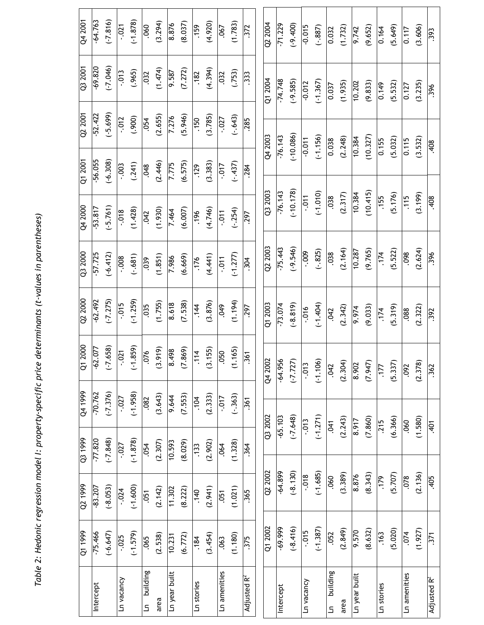| Q4 2001         | $-64.763$ | $(-7.816)$ | $-0.07$    | $(-1.878)$ | 060                  | (3.294) | 8.876         | (8.037)            | $\frac{65}{150}$ | (4.920) | <b>L90</b>      | (1.783)    | .372                    | Q <sub>2</sub> 2004 | $-71.229$ | $(-9.400)$  | $-0.015$   | $(-.887)$  | $\frac{1}{0.032}$ | (1.732) | 6.742              | (9.652)  | 0.164         | (5.649) | 0.117           | (3.606) | .393                    |
|-----------------|-----------|------------|------------|------------|----------------------|---------|---------------|--------------------|------------------|---------|-----------------|------------|-------------------------|---------------------|-----------|-------------|------------|------------|-------------------|---------|--------------------|----------|---------------|---------|-----------------|---------|-------------------------|
| $Q3\ 2001$      | $-69.820$ | $(-7.046)$ | $-0.013$   | (.965)     | .032                 | (1.474) | 9.587         | (7.272)            | .182             | (4.394) | .032            | (.753)     | .333                    | Q1 2004             | $-74.748$ | $(-9.585)$  | $-0.012$   | $(-1.367)$ | 0.037             | (1.935) | $\frac{10.202}{ }$ | (9.833)  | 0.149         | (5.532) | 0.127           | (3.235) | .396                    |
| Q2 2001         | $-52.422$ | $(-5.699)$ | $-012$     | (006.)     | .054                 | (2.655) | 7.276         | (5.946)            | 050              | (3.785) | $-0.07$         | $(-.643)$  | .285                    | Q4 2003             | $-76.143$ | $(-10.086)$ | $-0.011$   | $(-1.156)$ | 0.038             | (2.248) | 10.384             | (10.327) | 0.155         | (5.032) | 0.115           | (3.532) | 80b                     |
| Q12001          | $-56.055$ | $(-6.308)$ | $-0.003$   | (.241)     | .048                 | (2.446) | 7.775         | (6.575)            | .129             | (3.383) | $\frac{2}{10}$  | $(-.437)$  | .84                     |                     |           |             |            |            |                   |         |                    |          |               |         |                 |         |                         |
| Q4 2000         | $-53.817$ | $(-5.761)$ | $-0.018$   | (1.428)    | .042                 | (1.930) | 7.464         | (6.007)            | 961.             | (4.746) | $-0.7$          | $(-.254)$  | .297                    | Q3 2003             | $-76.143$ | $(-10.178)$ | $-0.01$    | $(-1.010)$ | 880               | (2.317) | 10.384             | (10.415) | .155          | (5.176) | $\frac{11}{15}$ | (3.199) | 408                     |
| Q3 2000         | $-57.725$ | $(-6.412)$ | 800 -      | $(-.681)$  | .039                 | (1.851) | 7.986         | (6.669)            | $-176$           | (4.441) | $-0.011$        | $(-1.277)$ | .304                    | Q2 2003             | $-75.443$ | $(-9.546)$  | $-0.009$   | $(-.825)$  | .038              | (2.164) | $\frac{10.287}{ }$ | (9.765)  | .174          | (5.522) | 860             | (2.624) | .396                    |
| Q2 2000         | $-62.492$ | $(-7.275)$ | $-0.0 -$   | $(-1.259)$ | .035                 | (1.755) | 8.618         | (7.538)            | .144             | (3.876) | 6r0             | (1.194)    | .297                    | $Q1\,2003$          | $-73.074$ | $(-8.819)$  | $-0.016$   | $(-1.404)$ | .042              | (2.342) | 9.974              | (9.033)  | .174          | (5.319) | 880.            | (2.322) | <b>765</b>              |
| 2000<br>l<br>Q1 | $-62.077$ | $(-7.658)$ | $-021$     | $(-1.859)$ | $-076$               | (3.919) | 8.498         | 869)<br>$\ddot{c}$ | $\frac{4}{1}$    | (3.155) | $\frac{050}{2}$ | (1.165)    | .361                    | Q4 2002             | $-64.956$ | $(-7.727)$  | $-0.01$    | $(-1.106)$ | CHO.              | (2.304) | 8.902              | (7.947)  | $\frac{1}{2}$ | (5.337) | .092            | (2.378) | .362                    |
| Q4 1999         | $-70.762$ | $(-7.376)$ | $-0.07$    | $(-1.958)$ | .082                 | (3.643) | 9.644         | (7.553)            | .001             | (2.333) | $L10$ .         | $(-.363)$  | .361                    |                     |           |             |            |            |                   |         |                    |          |               |         |                 |         |                         |
| Q3 1999         | -77.820   | $(-7.848)$ | $-0.07$    | $(-1.878)$ | .054                 | (2.307) | 10.593        | (8.029)            | .133             | (2.902) | .064            | (1.328)    | .364                    | Q3 2002             | $-65.103$ | $(-7.648)$  | $-0.013$   | $(-1.271)$ | .041              | (2.243) | 8.917              | (7.860)  | .215          | (6.366) | .060            | (1.580) | <b>401</b>              |
| Q2 1999         | $-83.207$ | $(-8.053)$ | $-0.04$    | $(-1.600)$ | .051                 | (2.142) | 11.302        | (8.222)            | 0+L              | (2.941) | .051            | (1.021)    | .365                    | Q2 2002             | $-64.899$ | $(-8.130)$  | .018       | $(-1.685)$ | 060               | (3.389) | 8.876              | (8.343)  | 621.          | (5.707) | .078            | (2.136) | 405                     |
| Q1 1999         | $-75.466$ | $(-6.647)$ | $-0.075$   | $(-1.579)$ | .065                 | (2.538) | 10.231        | (6.772)            | .184             | (3.454) | .063            | (1.180)    | .375                    | $Q1\ 2002$          | 666.69    | $(-8.416)$  | $-0.015$   | $(-1.387)$ | .052              | (2.849) | 0.570              | (8.632)  | .163          | (5.020) | .074            | (1.927) | .371                    |
|                 | Intercept |            | Ln vacancy |            | <b>building</b><br>S | area    | Ln year built |                    | Ln stories       |         | Ln amenities    |            | Adjusted R <sup>2</sup> |                     | Intercept |             | Ln vacancy |            | building<br>S     | area    | Ln year built      |          | Ln stories    |         | Ln amenities    |         | Adjusted R <sup>2</sup> |

Table 2: Hedonic regression model I: property-specific price determinants (t-values in parentheses) Table 2: Hedonic regression model I: property-specific price determinants (t-values in parentheses)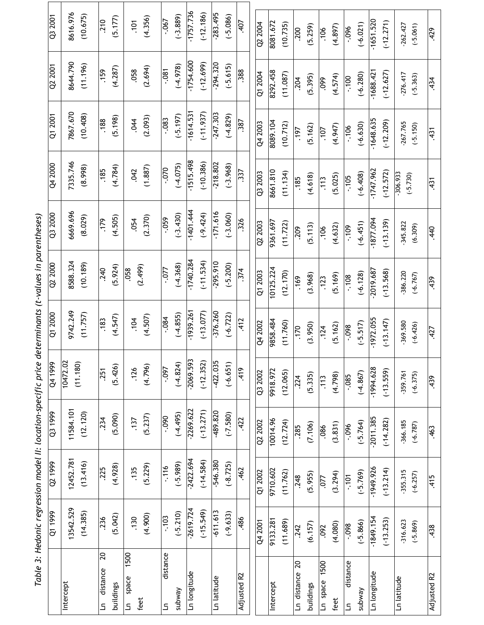| Q3 2001    | 8616.976  | (10.675) | .210                                       | (5.177)   | LOL'                          | (4.356) | <u> 190'-</u>          | $(-3.889)$ | -1757.736    | $(-12.186)$ | $-283.495$  | $(-5.086)$ | 407         | Q2 2004 | 8081.672  | (10.735) | .200                           | (5.259)   | $\frac{901}{3}$  | (4.897) | $-0.06$           | $(-6.021)$ | $-1651.520$  | $(-12.271)$ | $-262.427$  | $(-5.061)$ | .429            |
|------------|-----------|----------|--------------------------------------------|-----------|-------------------------------|---------|------------------------|------------|--------------|-------------|-------------|------------|-------------|---------|-----------|----------|--------------------------------|-----------|------------------|---------|-------------------|------------|--------------|-------------|-------------|------------|-----------------|
| Q2 2001    | 8644.790  | (11.196) | 65f.                                       | (4.287)   | 058                           | (2.694) | $-0.80$                | $(-4.978)$ | -1754.600    | $(-12.699)$ | $-294.320$  | $(-5.615)$ | .388        | Q1 2004 | 8292.458  | (11.087) | .204                           | (5.395)   | 660              | (4.574) | $001 -$           | $(-6.280)$ | $-1688.421$  | $(-12.627)$ | $-276.417$  | $(-5.363)$ | .434            |
| $Q1\ 2001$ | 7867.670  | (10.408) | 88                                         | (5.198)   | .044                          | (2.093) | $-083$                 | $(-5.197)$ | $-1614.53$   | (11.937)    | $-247.303$  | $(-4.829)$ | .387        | Q4 2003 | 8089.104  | (10.712) | L6L'                           | (5.162)   | 40L <sup>-</sup> | (4.947) | $-106$            | $(-6.630)$ | $-1648.635$  | $(-12.209)$ | $-267.765$  | $(-5.150)$ | .431            |
| $Q4\ 2000$ | 7335.746  | (8.998)  | .185                                       | (4.784)   | .042                          | (1.887) | $-0.07$                | $(-4.075)$ | $-1515.498$  | $(-10.386)$ | $-218.802$  | $(-3.968)$ | .337        | Q3 2003 | 8661.810  | (11.134) | .185                           | (4.618)   | .113             | (5.025) | $-105$            | $(-6.408)$ | $-1747.962$  | $(-12.572)$ | $-306.933$  | $(-5.730)$ | .431            |
| $Q3\ 2000$ | 6669.696  | (8.029)  | $rac{6}{179}$                              | (4.505)   | .054                          | (2.370) | $-0.59$                | $(-3.430)$ | $-1401.444$  | $(-9.424)$  | $-171.616$  | $(-3.060)$ | .326        | Q2 2003 | 9361.697  | (11.722) | .209                           | (5.113)   | 001.             | (4.632) | $-109$            | $(-6.451)$ | -1877.094    | $(-13.139)$ | $-345.822$  | (6.309)    | 440             |
| Q2 2000    | 8588.324  | (10.189) | .240                                       | (5.924)   | .058                          | (2.499) | $\frac{1}{2}$          | $(-4.368)$ | $-1740.284$  | $(-11.534)$ | $-295.910$  | $(-5.200)$ | .374        | Q1 2003 | 10125.224 | (12.170) | .169                           | (3.968)   | .123             | (5.169) | $-0.108$          | $(-6.128)$ | $-2019.687$  | $(-13.568)$ | $-386.220$  | $(-6.767)$ | .439            |
| Q1 2000    | 9742.249  | (11.757) | .183                                       | (4.547)   | .104                          | (4.507) | $-0.84$                | $(-4.855)$ | $-1939.261$  | $(-13.077)$ | $-376.260$  | $(-6.722)$ | .412        | Q4 2002 | 9858.484  | (11.760) | $\frac{011}{1}$                | (3.950)   | .124             | (5.162) | 860 -             | $(-5.517)$ | -1972.055    | $(-13.147)$ | $-369.580$  | $(-6.426)$ | $\frac{1}{427}$ |
| Q4 1999    | 10472.02  | (11.180) | .251                                       | (5.426)   | .126                          | (4.796) | <u>160<sup>-</sup></u> | $(-4.824)$ | $-2069.593$  | $(-12.352)$ | $-422.035$  | $(-6.651)$ | 419         | Q3 2002 | 9918.972  | (12.065) | $\frac{1}{24}$                 | (5.335)   | $\frac{1}{2}$    | (4.798) | $-0.85$           | $(-4.867)$ | 8Z9'b661-    | $(-13.559)$ | $-359.761$  | $(-6.375)$ | $-439$          |
| Q3 1999    | 11584.101 | (12.120) | .234                                       | (5.090)   | .137                          | (5.237) | $060 -$                | $(-4.495)$ | $-2269.622$  | $(-13.271)$ | -489.820    | $(-7.580)$ | 422         | Q2 2002 | 10014.96  | (12.724) | $-285$                         | (7.106)   | .086             | (3.831) | $-0.06$           | $(-5.764)$ | $-2011.385$  | $(-14.282)$ | $-366.185$  | $(-6.787)$ | .463            |
| 02 1999    | 12452.781 | (13.416) | .225                                       | (4.928)   | .135                          | (5.229) | 911-                   | $(-5.989)$ | $-2422.694$  | $(-14.584)$ | $-546.380$  | $(-8.725)$ | .462        | Q12002  | 9710.602  | (1.762)  | .248                           | (5.955)   | $\overline{C}$   | (3.294) | $-101$            | $(-5.769)$ | -1949.926    | $(-13.214)$ | $-355.315$  | $(-6.257)$ | $\frac{51}{11}$ |
| Q1 1999    | 13542.529 | (14.385) | .236                                       | (5.042)   | .130                          | (4.900) | $-103$                 | $(-5.210)$ | $-2619.724$  | $(-15.549)$ | $-611.613$  | $(-9.633)$ | 486         | Q4 2001 | 9133.281  | (11.689) | $\frac{242}{2}$                | (6.157)   | .092             | (4.080) | 860 :-            | $(-5.866)$ | -1849.154    | $(-13.253)$ | $-316.623$  | $(-5.869)$ | .438            |
|            | Intercept |          | $\overline{c}$<br>distance<br>$\mathsf{E}$ | buildings | 1500<br>space<br>$\mathsf{S}$ | feet    | distance<br>$\Xi$      | yewqns     | Ln longitude |             | Ln latitude |            | Adjusted R2 |         | Intercept |          | $\overline{00}$<br>Ln distance | buildings | 1500<br>Ln space | feet    | distance<br>$\Xi$ | yewqns     | Ln longitude |             | Ln latitude |            | Adjusted R2     |

Table 3: Hedonic regression model II: location-specific price determinants (t-values in parentheses) Table 3: Hedonic regression model II: location-specific price determinants (t-values in parentheses)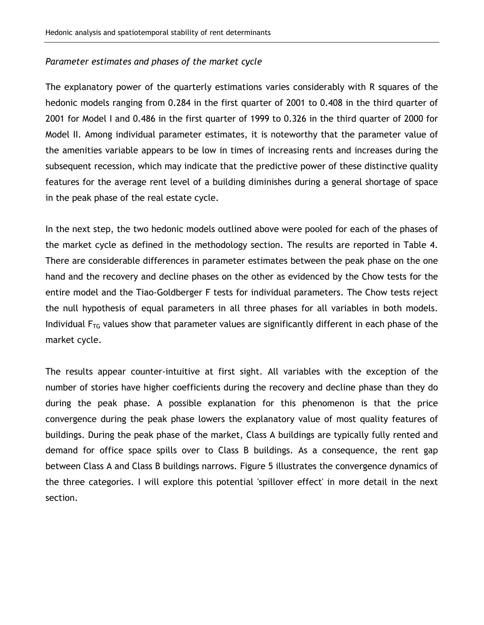## Parameter estimates and phases of the market cycle

The explanatory power of the quarterly estimations varies considerably with R squares of the hedonic models ranging from 0.284 in the first quarter of 2001 to 0.408 in the third quarter of 2001 for Model I and 0.486 in the first quarter of 1999 to 0.326 in the third quarter of 2000 for Model II. Among individual parameter estimates, it is noteworthy that the parameter value of the amenities variable appears to be low in times of increasing rents and increases during the subsequent recession, which may indicate that the predictive power of these distinctive quality features for the average rent level of a building diminishes during a general shortage of space in the peak phase of the real estate cycle.

In the next step, the two hedonic models outlined above were pooled for each of the phases of the market cycle as defined in the methodology section. The results are reported in Table 4. There are considerable differences in parameter estimates between the peak phase on the one hand and the recovery and decline phases on the other as evidenced by the Chow tests for the entire model and the Tiao-Goldberger F tests for individual parameters. The Chow tests reject the null hypothesis of equal parameters in all three phases for all variables in both models. Individual  $F_{TG}$  values show that parameter values are significantly different in each phase of the market cycle.

The results appear counter-intuitive at first sight. All variables with the exception of the number of stories have higher coefficients during the recovery and decline phase than they do during the peak phase. A possible explanation for this phenomenon is that the price convergence during the peak phase lowers the explanatory value of most quality features of buildings. During the peak phase of the market, Class A buildings are typically fully rented and demand for office space spills over to Class B buildings. As a consequence, the rent gap between Class A and Class B buildings narrows. Figure 5 illustrates the convergence dynamics of the three categories. I will explore this potential 'spillover effect' in more detail in the next section.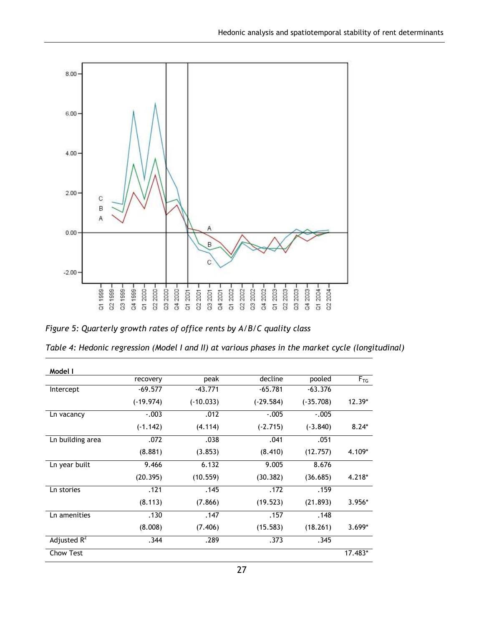

Figure 5: Quarterly growth rates of office rents by A/B/C quality class

| Model I          |             |             |             |             |          |
|------------------|-------------|-------------|-------------|-------------|----------|
|                  | recovery    | peak        | decline     | pooled      | $F_{TG}$ |
| Intercept        | $-69.577$   | $-43.771$   | $-65.781$   | $-63.376$   |          |
|                  | $(-19.974)$ | $(-10.033)$ | $(-29.584)$ | $(-35.708)$ | 12.39*   |
| Ln vacancy       | $-.003$     | .012        | $-.005$     | $-.005$     |          |
|                  | $(-1.142)$  | (4.114)     | $(-2.715)$  | $(-3.840)$  | $8.24*$  |
| Ln building area | .072        | .038        | .041        | .051        |          |
|                  | (8.881)     | (3.853)     | (8.410)     | (12.757)    | 4.109*   |
| Ln year built    | 9.466       | 6.132       | 9.005       | 8.676       |          |
|                  | (20.395)    | (10.559)    | (30.382)    | (36.685)    | 4.218*   |
| Ln stories       | .121        | .145        | .172        | .159        |          |
|                  | (8.113)     | (7.866)     | (19.523)    | (21.893)    | $3.956*$ |
| Ln amenities     | .130        | .147        | .157        | .148        |          |
|                  | (8.008)     | (7.406)     | (15.583)    | (18.261)    | $3.699*$ |
| Adjusted $R^2$   | .344        | .289        | .373        | .345        |          |
| <b>Chow Test</b> |             |             |             |             | 17.483*  |

Table 4: Hedonic regression (Model I and II) at various phases in the market cycle (longitudinal)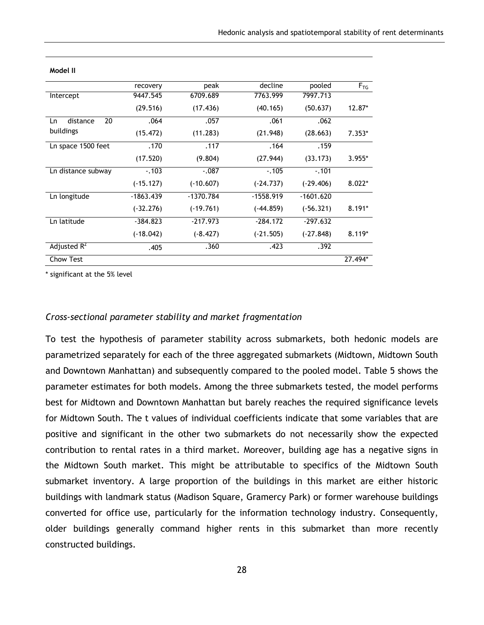|                      | recovery    | peak        | decline     | pooled      | $F_{TG}$ |
|----------------------|-------------|-------------|-------------|-------------|----------|
| Intercept            | 9447.545    | 6709.689    | 7763.999    | 7997.713    |          |
|                      | (29.516)    | (17.436)    | (40.165)    | (50.637)    | 12.87*   |
| 20<br>distance<br>Ln | .064        | .057        | .061        | .062        |          |
| buildings            | (15.472)    | (11.283)    | (21.948)    | (28.663)    | $7.353*$ |
| Ln space 1500 feet   | .170        | .117        | .164        | .159        |          |
|                      | (17.520)    | (9.804)     | (27.944)    | (33.173)    | $3.955*$ |
| Ln distance subway   | $-.103$     | $-.087$     | $-105$      | $-.101$     |          |
|                      | $(-15.127)$ | $(-10.607)$ | $(-24.737)$ | $(-29.406)$ | $8.022*$ |
| Ln longitude         | $-1863.439$ | $-1370.784$ | $-1558.919$ | $-1601.620$ |          |
|                      | $(-32.276)$ | $(-19.761)$ | $(-44.859)$ | $(-56.321)$ | $8.191*$ |
| Ln latitude          | $-384.823$  | $-217.973$  | $-284.172$  | $-297.632$  |          |
|                      | $(-18.042)$ | $(-8.427)$  | $(-21.505)$ | $(-27.848)$ | $8.119*$ |
| Adjusted $R^2$       | .405        | .360        | .423        | .392        |          |
| <b>Chow Test</b>     |             |             |             |             | 27.494*  |

Model II

\* significant at the 5% level

#### Cross-sectional parameter stability and market fragmentation

To test the hypothesis of parameter stability across submarkets, both hedonic models are parametrized separately for each of the three aggregated submarkets (Midtown, Midtown South and Downtown Manhattan) and subsequently compared to the pooled model. Table 5 shows the parameter estimates for both models. Among the three submarkets tested, the model performs best for Midtown and Downtown Manhattan but barely reaches the required significance levels for Midtown South. The t values of individual coefficients indicate that some variables that are positive and significant in the other two submarkets do not necessarily show the expected contribution to rental rates in a third market. Moreover, building age has a negative signs in the Midtown South market. This might be attributable to specifics of the Midtown South submarket inventory. A large proportion of the buildings in this market are either historic buildings with landmark status (Madison Square, Gramercy Park) or former warehouse buildings converted for office use, particularly for the information technology industry. Consequently, older buildings generally command higher rents in this submarket than more recently constructed buildings.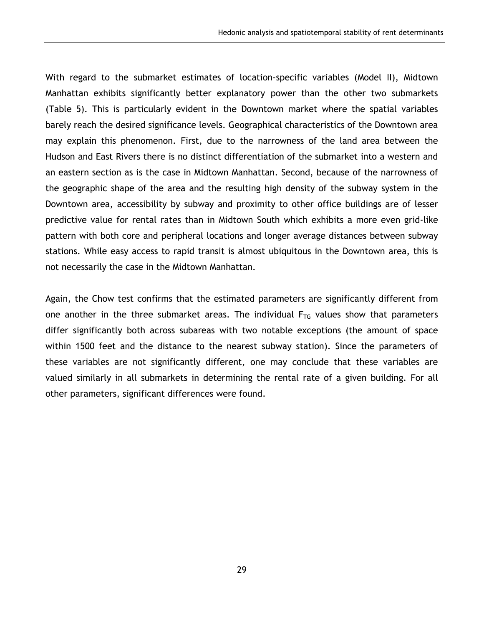With regard to the submarket estimates of location-specific variables (Model II), Midtown Manhattan exhibits significantly better explanatory power than the other two submarkets (Table 5). This is particularly evident in the Downtown market where the spatial variables barely reach the desired significance levels. Geographical characteristics of the Downtown area may explain this phenomenon. First, due to the narrowness of the land area between the Hudson and East Rivers there is no distinct differentiation of the submarket into a western and an eastern section as is the case in Midtown Manhattan. Second, because of the narrowness of the geographic shape of the area and the resulting high density of the subway system in the Downtown area, accessibility by subway and proximity to other office buildings are of lesser predictive value for rental rates than in Midtown South which exhibits a more even grid-like pattern with both core and peripheral locations and longer average distances between subway stations. While easy access to rapid transit is almost ubiquitous in the Downtown area, this is not necessarily the case in the Midtown Manhattan.

Again, the Chow test confirms that the estimated parameters are significantly different from one another in the three submarket areas. The individual  $F_{TG}$  values show that parameters differ significantly both across subareas with two notable exceptions (the amount of space within 1500 feet and the distance to the nearest subway station). Since the parameters of these variables are not significantly different, one may conclude that these variables are valued similarly in all submarkets in determining the rental rate of a given building. For all other parameters, significant differences were found.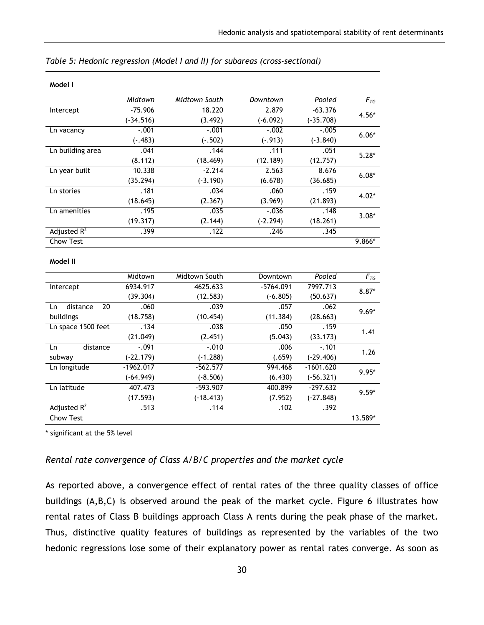|                      | Midtown     | Midtown South        | Downtown    | Pooled      | $F_{TG}$             |
|----------------------|-------------|----------------------|-------------|-------------|----------------------|
| Intercept            | $-75.906$   | 18.220               | 2.879       | $-63.376$   | $4.56*$              |
|                      | $(-34.516)$ | (3.492)              | $(-6.092)$  | $(-35.708)$ |                      |
| Ln vacancy           | $-.001$     | $-.001$              | $-.002$     | $-.005$     | $6.06*$              |
|                      | $(-.483)$   | $(-.502)$            | $(-.913)$   | $(-3.840)$  |                      |
| Ln building area     | .041        | .144                 | .111        | .051        | $5.28*$              |
|                      | (8.112)     | (18.469)             | (12.189)    | (12.757)    |                      |
| Ln year built        | 10.338      | $-2.214$             | 2.563       | 8.676       | $6.08*$              |
|                      | (35.294)    | $(-3.190)$           | (6.678)     | (36.685)    |                      |
| Ln stories           | .181        | .034                 | .060        | .159        | $4.02*$              |
|                      | (18.645)    | (2.367)              | (3.969)     | (21.893)    |                      |
| Ln amenities         | .195        | .035                 | $-.036$     | .148        |                      |
|                      | (19.317)    | (2.144)              | $(-2.294)$  | (18.261)    | $3.08*$              |
| Adjusted $R^2$       | .399        | .122                 | .246        | .345        |                      |
| <b>Chow Test</b>     |             |                      |             |             | $9.866*$             |
| Model II             |             |                      |             |             |                      |
|                      | Midtown     | <b>Midtown South</b> | Downtown    | Pooled      | $F_{TG}$             |
| Intercept            | 6934.917    | 4625.633             | $-5764.091$ | 7997.713    | $8.87*$              |
|                      | (39.304)    | (12.583)             | $(-6.805)$  | (50.637)    |                      |
| 20<br>distance<br>Ln | .060        | .039                 | .057        | .062        |                      |
| buildings            | (18.758)    | (10.454)             | (11.384)    | (28.663)    | $9.69*$              |
| Ln space 1500 feet   | .134        | .038                 | .050        | .159        | 1.41                 |
|                      | (21.049)    | (2.451)              | (5.043)     | (33.173)    |                      |
| distance<br>Ln       | $-.091$     | $-.010$              | .006        | $-101$      |                      |
| subway               | $(-22.179)$ | $(-1.288)$           | (.659)      | $(-29.406)$ | 1.26                 |
| Ln longitude         | $-1962.017$ | $-562.577$           | 994.468     | $-1601.620$ | $\sim$ $\sim$ $\sim$ |

(-8.506)

-593.907 (-18.413)

 .513 .114 .102 .392 Chow Test  $13.589^*$ 

Table 5: Hedonic regression (Model I and II) for subareas (cross-sectional)

\* significant at the 5% level

Adjusted  $R^2$ 

Ln latitude 407.473

(-64.949)

(17.593)

Model I

#### Rental rate convergence of Class A/B/C properties and the market cycle

As reported above, a convergence effect of rental rates of the three quality classes of office buildings (A,B,C) is observed around the peak of the market cycle. Figure 6 illustrates how rental rates of Class B buildings approach Class A rents during the peak phase of the market. Thus, distinctive quality features of buildings as represented by the variables of the two hedonic regressions lose some of their explanatory power as rental rates converge. As soon as

(6.430)

400.899 (7.952)  $(1001.620$  9.95\*

 $(-27.848)$  9.59\*

-297.632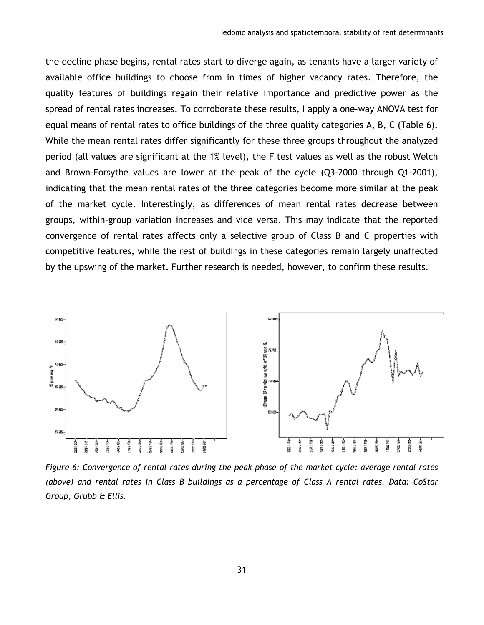the decline phase begins, rental rates start to diverge again, as tenants have a larger variety of available office buildings to choose from in times of higher vacancy rates. Therefore, the quality features of buildings regain their relative importance and predictive power as the spread of rental rates increases. To corroborate these results, I apply a one-way ANOVA test for equal means of rental rates to office buildings of the three quality categories A, B, C (Table 6). While the mean rental rates differ significantly for these three groups throughout the analyzed period (all values are significant at the 1% level), the F test values as well as the robust Welch and Brown-Forsythe values are lower at the peak of the cycle (Q3-2000 through Q1-2001), indicating that the mean rental rates of the three categories become more similar at the peak of the market cycle. Interestingly, as differences of mean rental rates decrease between groups, within-group variation increases and vice versa. This may indicate that the reported convergence of rental rates affects only a selective group of Class B and C properties with competitive features, while the rest of buildings in these categories remain largely unaffected by the upswing of the market. Further research is needed, however, to confirm these results.



Figure 6: Convergence of rental rates during the peak phase of the market cycle: average rental rates (above) and rental rates in Class B buildings as a percentage of Class A rental rates. Data: CoStar Group, Grubb & Ellis.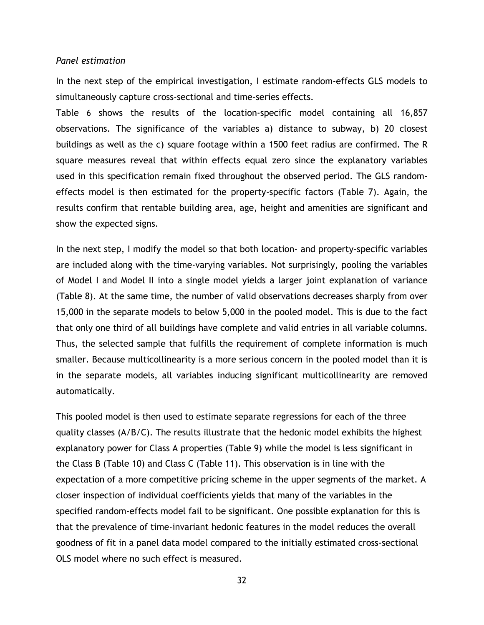#### Panel estimation

In the next step of the empirical investigation, I estimate random-effects GLS models to simultaneously capture cross-sectional and time-series effects.

Table 6 shows the results of the location-specific model containing all 16,857 observations. The significance of the variables a) distance to subway, b) 20 closest buildings as well as the c) square footage within a 1500 feet radius are confirmed. The R square measures reveal that within effects equal zero since the explanatory variables used in this specification remain fixed throughout the observed period. The GLS randomeffects model is then estimated for the property-specific factors (Table 7). Again, the results confirm that rentable building area, age, height and amenities are significant and show the expected signs.

In the next step, I modify the model so that both location- and property-specific variables are included along with the time-varying variables. Not surprisingly, pooling the variables of Model I and Model II into a single model yields a larger joint explanation of variance (Table 8). At the same time, the number of valid observations decreases sharply from over 15,000 in the separate models to below 5,000 in the pooled model. This is due to the fact that only one third of all buildings have complete and valid entries in all variable columns. Thus, the selected sample that fulfills the requirement of complete information is much smaller. Because multicollinearity is a more serious concern in the pooled model than it is in the separate models, all variables inducing significant multicollinearity are removed automatically.

This pooled model is then used to estimate separate regressions for each of the three quality classes (A/B/C). The results illustrate that the hedonic model exhibits the highest explanatory power for Class A properties (Table 9) while the model is less significant in the Class B (Table 10) and Class C (Table 11). This observation is in line with the expectation of a more competitive pricing scheme in the upper segments of the market. A closer inspection of individual coefficients yields that many of the variables in the specified random-effects model fail to be significant. One possible explanation for this is that the prevalence of time-invariant hedonic features in the model reduces the overall goodness of fit in a panel data model compared to the initially estimated cross-sectional OLS model where no such effect is measured.

32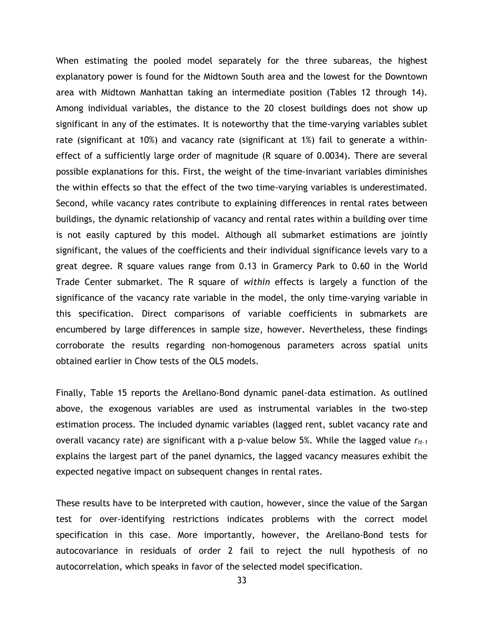When estimating the pooled model separately for the three subareas, the highest explanatory power is found for the Midtown South area and the lowest for the Downtown area with Midtown Manhattan taking an intermediate position (Tables 12 through 14). Among individual variables, the distance to the 20 closest buildings does not show up significant in any of the estimates. It is noteworthy that the time-varying variables sublet rate (significant at 10%) and vacancy rate (significant at 1%) fail to generate a withineffect of a sufficiently large order of magnitude (R square of 0.0034). There are several possible explanations for this. First, the weight of the time-invariant variables diminishes the within effects so that the effect of the two time-varying variables is underestimated. Second, while vacancy rates contribute to explaining differences in rental rates between buildings, the dynamic relationship of vacancy and rental rates within a building over time is not easily captured by this model. Although all submarket estimations are jointly significant, the values of the coefficients and their individual significance levels vary to a great degree. R square values range from 0.13 in Gramercy Park to 0.60 in the World Trade Center submarket. The R square of within effects is largely a function of the significance of the vacancy rate variable in the model, the only time-varying variable in this specification. Direct comparisons of variable coefficients in submarkets are encumbered by large differences in sample size, however. Nevertheless, these findings corroborate the results regarding non-homogenous parameters across spatial units obtained earlier in Chow tests of the OLS models.

Finally, Table 15 reports the Arellano-Bond dynamic panel-data estimation. As outlined above, the exogenous variables are used as instrumental variables in the two-step estimation process. The included dynamic variables (lagged rent, sublet vacancy rate and overall vacancy rate) are significant with a p-value below 5%. While the lagged value  $r_{it-1}$ explains the largest part of the panel dynamics, the lagged vacancy measures exhibit the expected negative impact on subsequent changes in rental rates.

These results have to be interpreted with caution, however, since the value of the Sargan test for over-identifying restrictions indicates problems with the correct model specification in this case. More importantly, however, the Arellano-Bond tests for autocovariance in residuals of order 2 fail to reject the null hypothesis of no autocorrelation, which speaks in favor of the selected model specification.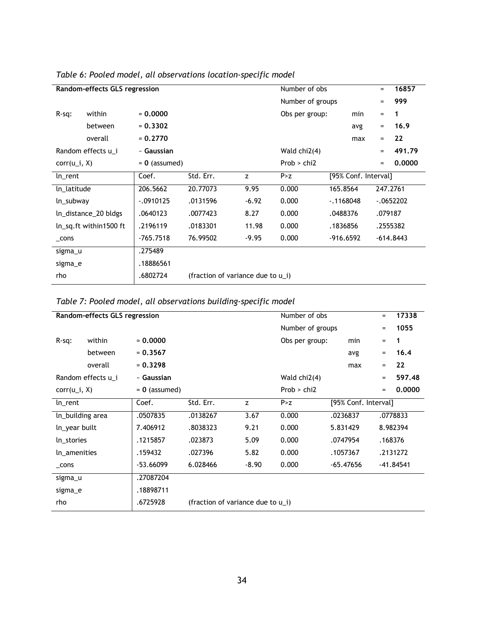| Random-effects GLS regression |                        |                 |                                   |         | Number of obs    |             |                      | $\equiv$          | 16857       |
|-------------------------------|------------------------|-----------------|-----------------------------------|---------|------------------|-------------|----------------------|-------------------|-------------|
|                               |                        |                 |                                   |         | Number of groups |             |                      | $=$               | 999         |
| $R-sq$ :                      | within                 | $= 0.0000$      |                                   |         | Obs per group:   |             | min                  | $\qquad \qquad =$ | 1           |
|                               | between                | $= 0.3302$      |                                   |         |                  |             | avg                  | $\qquad \qquad =$ | 16.9        |
|                               | overall                | $= 0.2770$      |                                   |         |                  |             | max                  | $=$               | 22          |
|                               | Random effects u i     | ~ Gaussian      |                                   |         | Wald chi2(4)     |             |                      | $=$               | 491.79      |
| $corr(u_i, X)$                |                        | $= 0$ (assumed) |                                   |         | Prob > chi2      |             |                      | $\qquad \qquad =$ | 0.0000      |
| ln_rent                       |                        | Coef.           | Std. Err.                         | z       | P > Z            |             | [95% Conf. Interval] |                   |             |
| ln_latitude                   |                        | 206.5662        | 20.77073                          | 9.95    | 0.000            | 165.8564    |                      | 247.2761          |             |
| ln_subway                     |                        | $-.0910125$     | .0131596                          | $-6.92$ | 0.000            | $-1168048$  |                      |                   | $-0652202$  |
|                               | In_distance_20 bldgs   | .0640123        | .0077423                          | 8.27    | 0.000            | .0488376    |                      | .079187           |             |
|                               | ln_sq.ft within1500 ft | .2196119        | .0183301                          | 11.98   | 0.000            | .1836856    |                      |                   | .2555382    |
| $\_cons$                      |                        | $-765.7518$     | 76.99502                          | $-9.95$ | 0.000            | $-916.6592$ |                      |                   | $-614.8443$ |
| sigma_u                       |                        | .275489         |                                   |         |                  |             |                      |                   |             |
| sigma_e                       |                        | .18886561       |                                   |         |                  |             |                      |                   |             |
| rho                           |                        | .6802724        | (fraction of variance due to u i) |         |                  |             |                      |                   |             |

Table 6: Pooled model, all observations location-specific model

|                | Random-effects GLS regression |                 |                                      |         | Number of obs    |                      | $=$ | 17338       |
|----------------|-------------------------------|-----------------|--------------------------------------|---------|------------------|----------------------|-----|-------------|
|                |                               |                 |                                      |         | Number of groups |                      | $=$ | 1055        |
| $R-sq$ :       | within                        | $= 0.0000$      |                                      |         | Obs per group:   | min                  | $=$ | 1           |
|                | between                       | $= 0.3567$      |                                      |         |                  | avg                  | $=$ | 16.4        |
|                | overall                       | $= 0.3298$      |                                      |         |                  | max                  | $=$ | 22          |
|                | Random effects u i            | ~ Gaussian      |                                      |         | Wald chi2(4)     |                      | $=$ | 597.48      |
| $corr(u_i, X)$ |                               | $= 0$ (assumed) |                                      |         | Prob > chi2      |                      | $=$ | 0.0000      |
| In rent        |                               | Coef.           | Std. Err.                            | Z       | P > Z            | [95% Conf. Interval] |     |             |
|                | In_building area              | .0507835        | .0138267                             | 3.67    | 0.000            | .0236837             |     | .0778833    |
| In_year built  |                               | 7.406912        | .8038323                             | 9.21    | 0.000            | 5.831429             |     | 8.982394    |
| In stories     |                               | .1215857        | .023873                              | 5.09    | 0.000            | .0747954             |     | .168376     |
| In amenities   |                               | .159432         | .027396                              | 5.82    | 0.000            | .1057367             |     | .2131272    |
| cons           |                               | $-53.66099$     | 6.028466                             | $-8.90$ | 0.000            | $-65.47656$          |     | $-41.84541$ |
| sigma_u        |                               | .27087204       |                                      |         |                  |                      |     |             |
| sigma_e        |                               | .18898711       |                                      |         |                  |                      |     |             |
| rho            |                               | .6725928        | (fraction of variance due to $u_i$ ) |         |                  |                      |     |             |
|                |                               |                 |                                      |         |                  |                      |     |             |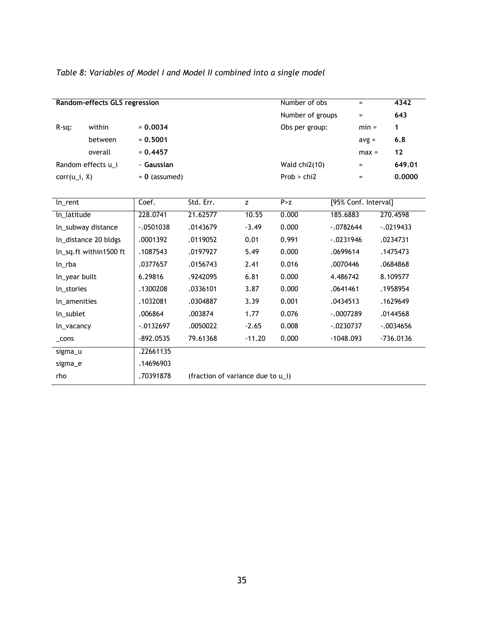|                           | Random-effects GLS regression |                 |                                      |          | Number of obs    | $=$                  |         | 4342         |
|---------------------------|-------------------------------|-----------------|--------------------------------------|----------|------------------|----------------------|---------|--------------|
|                           |                               |                 |                                      |          | Number of groups | $\quad \  \  =$      |         | 643          |
| $R-sq$ :                  | within                        | $= 0.0034$      |                                      |          | Obs per group:   |                      | $min =$ | 1            |
|                           | between                       | $= 0.5001$      |                                      |          |                  |                      | $avg =$ | 6.8          |
|                           | overall                       | $= 0.4457$      |                                      |          |                  |                      | $max =$ | $12$         |
|                           | Random effects u_i            | ~ Gaussian      |                                      |          | Wald chi2(10)    | $\qquad \qquad =$    |         | 649.01       |
| $corr(u_i, X)$            |                               | $= 0$ (assumed) |                                      |          | Prob > chi2      | $=$                  |         | 0.0000       |
| In_rent                   |                               | Coef.           | Std. Err.                            | Z        | P > Z            | [95% Conf. Interval] |         |              |
| In_latitude               |                               | 228.0741        | 21.62577                             | 10.55    | 0.000            | 185.6883             |         | 270.4598     |
|                           | In_subway distance            | $-0501038$      | .0143679                             | $-3.49$  | 0.000            | $-0782644$           |         | $-0.0219433$ |
|                           | In_distance 20 bldgs          | .0001392        | .0119052                             | 0.01     | 0.991            | $-0.0231946$         |         | .0234731     |
|                           | ln_sq.ft within1500 ft        | .1087543        | .0197927                             | 5.49     | 0.000            | .0699614             |         | .1475473     |
| ln_rba                    |                               | .0377657        | .0156743                             | 2.41     | 0.016            | .0070446             |         | .0684868     |
| In_year built             |                               | 6.29816         | .9242095                             | 6.81     | 0.000            | 4.486742             |         | 8.109577     |
| In_stories                |                               | .1300208        | .0336101                             | 3.87     | 0.000            | .0641461             |         | .1958954     |
| In_amenities              |                               | .1032081        | .0304887                             | 3.39     | 0.001            | .0434513             |         | .1629649     |
| In_sublet                 |                               | .006864         | .003874                              | 1.77     | 0.076            | $-.0007289$          |         | .0144568     |
| In_vacancy                |                               | $-.0132697$     | .0050022                             | $-2.65$  | 0.008            | $-.0230737$          |         | $-.0034656$  |
| $_{\text{-} \text{cons}}$ |                               | $-892.0535$     | 79.61368                             | $-11.20$ | 0.000            | $-1048.093$          |         | $-736.0136$  |
| sigma_u                   |                               | .22661135       |                                      |          |                  |                      |         |              |
| sigma_e                   |                               | .14696903       |                                      |          |                  |                      |         |              |
| rho                       |                               | .70391878       | (fraction of variance due to $u_i$ ) |          |                  |                      |         |              |

# Table 8: Variables of Model I and Model II combined into a single model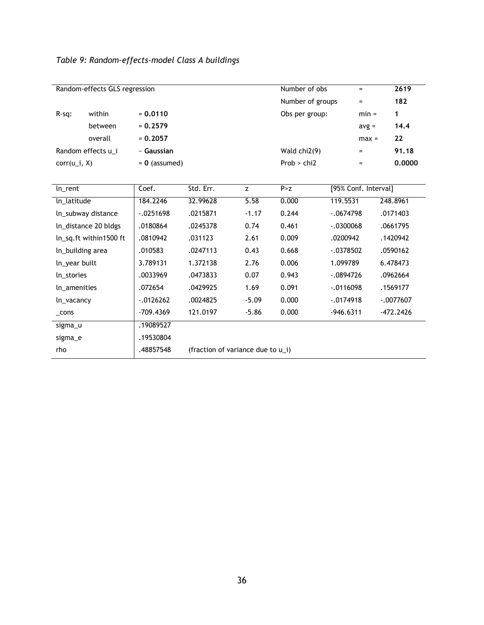|                           | Random-effects GLS regression |                 |                                   |         | Number of obs    |              | $=$                  | 2619         |
|---------------------------|-------------------------------|-----------------|-----------------------------------|---------|------------------|--------------|----------------------|--------------|
|                           |                               |                 |                                   |         | Number of groups |              | $\qquad \qquad =$    | 182          |
| $R-sq$ :                  | within                        | $= 0.0110$      |                                   |         | Obs per group:   |              | $min =$              | 1            |
|                           | between                       | $= 0.2579$      |                                   |         |                  |              | $avg =$              | 14.4         |
|                           | overall                       | $= 0.2057$      |                                   |         |                  |              | $max =$              | 22           |
|                           | Random effects u_i            | ~ Gaussian      |                                   |         | Wald chi2(9)     |              | $\qquad \qquad =$    | 91.18        |
| $corr(u_i, X)$            |                               | $= 0$ (assumed) |                                   |         | Prob > chi2      |              | $=$                  | 0.0000       |
| In_rent                   |                               | Coef.           | Std. Err.                         | z       | P > Z            |              | [95% Conf. Interval] |              |
| In_latitude               |                               | 184.2246        | 32.99628                          | 5.58    | 0.000            | 119.5531     |                      | 248.8961     |
|                           | In_subway distance            | $-0.0251698$    | .0215871                          | $-1.17$ | 0.244            | $-0674798$   |                      | .0171403     |
|                           | In_distance 20 bldgs          | .0180864        | .0245378                          | 0.74    | 0.461            | $-0.300068$  |                      | .0661795     |
|                           | ln_sq.ft within1500 ft        | .0810942        | .031123                           | 2.61    | 0.009            | .0200942     |                      | .1420942     |
|                           | In_building area              | .010583         | .0247113                          | 0.43    | 0.668            | $-0.0378502$ |                      | .0590162     |
| In_year built             |                               | 3.789131        | 1.372138                          | 2.76    | 0.006            | 1.099789     |                      | 6.478473     |
| In_stories                |                               | .0033969        | .0473833                          | 0.07    | 0.943            | $-0894726$   |                      | .0962664     |
| In_amenities              |                               | .072654         | .0429925                          | 1.69    | 0.091            | $-.0116098$  |                      | .1569177     |
| In_vacancy                |                               | $-0.0126262$    | .0024825                          | $-5.09$ | 0.000            | $-0.0174918$ |                      | $-0.0077607$ |
| $_{\text{-} \text{cons}}$ |                               | $-709.4369$     | 121.0197                          | $-5.86$ | 0.000            | $-946.6311$  |                      | $-472.2426$  |
| sigma_u                   |                               | .19089527       |                                   |         |                  |              |                      |              |
| sigma_e                   |                               | .19530804       |                                   |         |                  |              |                      |              |
| rho                       |                               | .48857548       | (fraction of variance due to u_i) |         |                  |              |                      |              |

# Table 9: Random-effects-model Class A buildings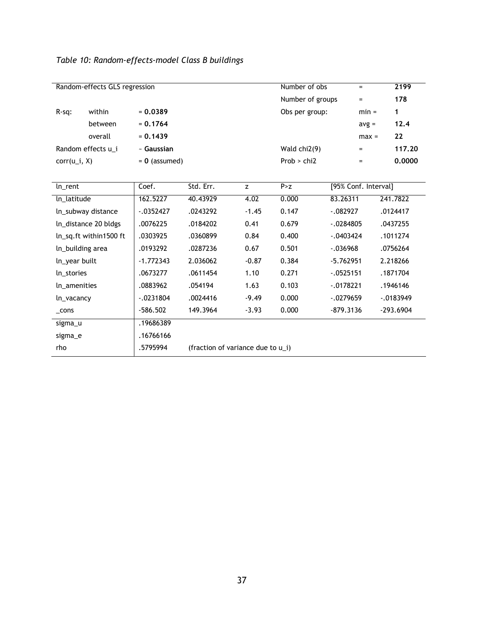|                | Random-effects GLS regression |                 |                                   |         | Number of obs    |              | $=$                     | 2199         |
|----------------|-------------------------------|-----------------|-----------------------------------|---------|------------------|--------------|-------------------------|--------------|
|                |                               |                 |                                   |         | Number of groups |              | $=$                     | 178          |
| $R-sq$ :       | within                        | $= 0.0389$      |                                   |         | Obs per group:   |              | $min =$                 | 1            |
|                | between                       | $= 0.1764$      |                                   |         |                  |              | $avg =$                 | 12.4         |
|                | overall                       | $= 0.1439$      |                                   |         |                  |              | $max =$                 | 22           |
|                | Random effects u_i            | ~ Gaussian      |                                   |         | Wald chi2(9)     |              | =                       | 117.20       |
| $corr(u_i, X)$ |                               | $= 0$ (assumed) |                                   |         | Prob > chi2      |              | $=$                     | 0.0000       |
|                |                               |                 |                                   |         |                  |              |                         |              |
| In_rent        |                               | Coef.           | Std. Err.                         | z       | P > Z            |              | [95% Conf. Interval]    |              |
| In_latitude    |                               | 162.5227        | 40.43929                          | 4.02    | 0.000            | 83.26311     |                         | 241.7822     |
|                | In_subway distance            | $-0.0352427$    | .0243292                          | $-1.45$ | 0.147            | $-.082927$   |                         | .0124417     |
|                | In_distance 20 bldgs          | .0076225        | .0184202                          | 0.41    | 0.679            | $-0.0284805$ |                         | .0437255     |
|                | In_sq.ft within1500 ft        | .0303925        | .0360899                          | 0.84    | 0.400            |              | $-0.403424$<br>.1011274 |              |
|                | In_building area              | .0193292        | .0287236                          | 0.67    | 0.501            | $-.036968$   |                         | .0756264     |
| In_year built  |                               | $-1.772343$     | 2.036062                          | $-0.87$ | 0.384            | $-5.762951$  |                         | 2.218266     |
| In_stories     |                               | .0673277        | .0611454                          | 1.10    | 0.271            | $-0525151$   |                         | .1871704     |
| In_amenities   |                               | .0883962        | .054194                           | 1.63    | 0.103            | $-0.178221$  |                         | .1946146     |
| In_vacancy     |                               | $-0231804$      | .0024416                          | $-9.49$ | 0.000            | $-.0279659$  |                         | $-0.0183949$ |
| _cons          |                               | $-586.502$      | 149.3964                          | $-3.93$ | 0.000            | $-879.3136$  |                         | $-293.6904$  |
| sigma_u        |                               | .19686389       |                                   |         |                  |              |                         |              |
| sigma_e        |                               | .16766166       |                                   |         |                  |              |                         |              |
| rho            |                               |                 | (fraction of variance due to u_i) |         |                  |              |                         |              |

# Table 10: Random-effects-model Class B buildings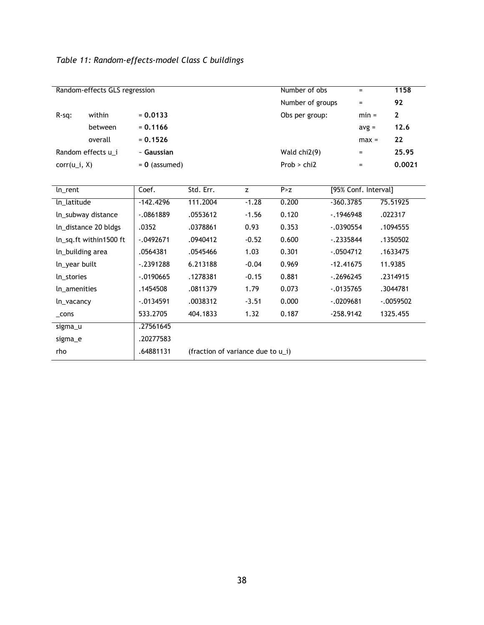|                   | Random-effects GLS regression |                 |                                   |         | Number of obs    |              | $=$                  | 1158         |
|-------------------|-------------------------------|-----------------|-----------------------------------|---------|------------------|--------------|----------------------|--------------|
|                   |                               |                 |                                   |         | Number of groups |              | $\equiv$             | 92           |
| $R-sq$ :          | within                        | $= 0.0133$      |                                   |         | Obs per group:   |              | $min =$              | $\mathbf{2}$ |
|                   | between                       | $= 0.1166$      |                                   |         |                  |              | $avg =$              | 12.6         |
|                   | overall                       | $= 0.1526$      |                                   |         |                  |              | $max =$              | 22           |
|                   | Random effects u i            | ~ Gaussian      |                                   |         | Wald chi2(9)     |              | $=$                  | 25.95        |
| $corr(u_i, X)$    |                               | $= 0$ (assumed) |                                   |         | Prob > chi2      |              | $=$                  | 0.0021       |
| In_rent           |                               | Coef.           | Std. Err.                         | z       | P > Z            |              | [95% Conf. Interval] |              |
| In_latitude       |                               | $-142.4296$     | 111.2004                          | $-1.28$ | 0.200            | $-360.3785$  |                      | 75.51925     |
|                   | In_subway distance            | $-0.0861889$    | .0553612                          | $-1.56$ | 0.120            | $-1946948$   |                      | .022317      |
|                   | In_distance 20 bldgs          | .0352           | .0378861                          | 0.93    | 0.353            | $-.0390554$  |                      | .1094555     |
|                   | ln_sq.ft within1500 ft        | $-0.492671$     | .0940412                          | $-0.52$ | 0.600            | $-.2335844$  |                      | .1350502     |
|                   | In_building area              | .0564381        | .0545466                          | 1.03    | 0.301            | $-0504712$   |                      | .1633475     |
| In_year built     |                               | $-.2391288$     | 6.213188                          | $-0.04$ | 0.969            | $-12.41675$  |                      | 11.9385      |
| In_stories        |                               | $-0.190665$     | .1278381                          | $-0.15$ | 0.881            | $-0.2696245$ |                      | .2314915     |
| In_amenities      |                               | .1454508        | .0811379                          | 1.79    | 0.073            | $-0.0135765$ |                      | .3044781     |
| In_vacancy        |                               | $-0.0134591$    | .0038312                          | $-3.51$ | 0.000            | $-0209681$   |                      | $-.0059502$  |
| $_{\text{-cons}}$ |                               | 533.2705        | 404.1833                          | 1.32    | 0.187            | $-258.9142$  |                      | 1325.455     |
| sigma_u           |                               | .27561645       |                                   |         |                  |              |                      |              |
| sigma_e           |                               | .20277583       |                                   |         |                  |              |                      |              |
| rho               |                               | .64881131       | (fraction of variance due to u_i) |         |                  |              |                      |              |

# Table 11: Random-effects-model Class C buildings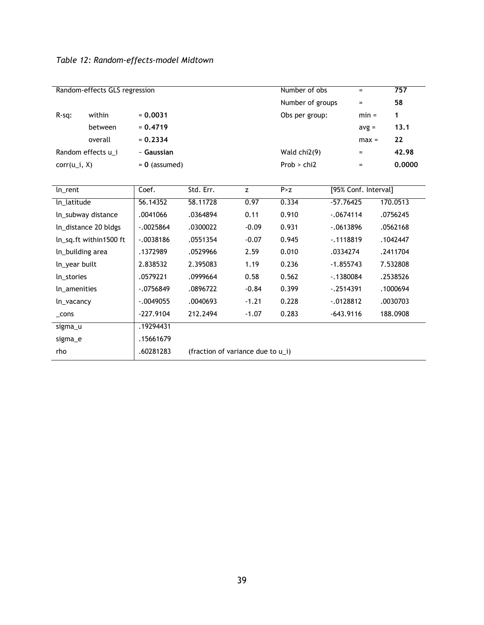|                           | Random-effects GLS regression |                 |                                   |         | Number of obs      |                      | $=$               | 757               |
|---------------------------|-------------------------------|-----------------|-----------------------------------|---------|--------------------|----------------------|-------------------|-------------------|
|                           |                               |                 |                                   |         | Number of groups   |                      | $\qquad \qquad =$ | 58                |
| $R-sq$ :                  | within                        | $= 0.0031$      |                                   |         | Obs per group:     |                      | $min =$           | $\mathbf{1}$      |
|                           | between                       | $= 0.4719$      |                                   |         |                    |                      | $avg =$           | 13.1              |
|                           | overall                       | $= 0.2334$      |                                   |         |                    |                      | $max =$           | $22 \overline{ }$ |
|                           | Random effects u_i            | ~ Gaussian      |                                   |         | Wald chi2(9)       |                      | $\equiv$          | 42.98             |
| $corr(u_i, X)$            |                               | $= 0$ (assumed) |                                   |         | Prob > chi2<br>$=$ |                      |                   | 0.0000            |
| In_rent                   |                               | Coef.           | Std. Err.                         | z       | P > Z              | [95% Conf. Interval] |                   |                   |
| In_latitude               |                               | 56.14352        | 58.11728                          | 0.97    | 0.334              | $-57.76425$          |                   | 170.0513          |
|                           | In_subway distance            | .0041066        | .0364894                          | 0.11    | 0.910              | $-0674114$           |                   | .0756245          |
|                           | In_distance 20 bldgs          | $-0.0025864$    | .0300022                          | $-0.09$ | 0.931              | $-0613896$           |                   | .0562168          |
|                           | ln_sq.ft within1500 ft        | $-.0038186$     | .0551354                          | $-0.07$ | 0.945              | $-1118819$           |                   | .1042447          |
|                           | In_building area              | .1372989        | .0529966                          | 2.59    | 0.010              | .0334274             |                   | .2411704          |
| In_year built             |                               | 2.838532        | 2.395083                          | 1.19    | 0.236              | $-1.855743$          |                   | 7.532808          |
| In_stories                |                               | .0579221        | .0999664                          | 0.58    | 0.562              | $-1380084$           |                   | .2538526          |
| In_amenities              |                               | $-0756849$      | .0896722                          | $-0.84$ | 0.399              | $-.2514391$          |                   | .1000694          |
| In_vacancy                |                               | $-0.049055$     | .0040693                          | $-1.21$ | 0.228              | $-0128812$           |                   | .0030703          |
| $_{\text{-} \text{cons}}$ |                               | $-227.9104$     | 212.2494                          | $-1.07$ | 0.283              | $-643.9116$          |                   | 188.0908          |
| sigma_u                   |                               | .19294431       |                                   |         |                    |                      |                   |                   |
| sigma_e                   |                               | .15661679       |                                   |         |                    |                      |                   |                   |
| rho                       |                               | .60281283       | (fraction of variance due to u_i) |         |                    |                      |                   |                   |

# Table 12: Random-effects-model Midtown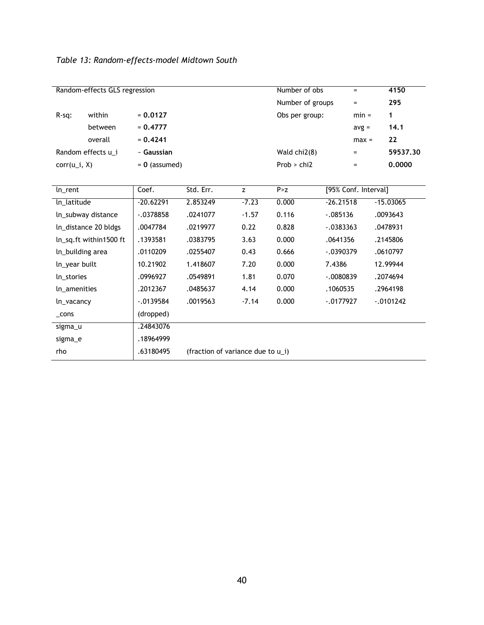| Random-effects GLS regression |                        |                 |                                   |             | Number of obs    |              | $=$                  | 4150         |
|-------------------------------|------------------------|-----------------|-----------------------------------|-------------|------------------|--------------|----------------------|--------------|
|                               |                        |                 |                                   |             | Number of groups |              | $=$                  | 295          |
| $R-sq$ :                      | within                 | $= 0.0127$      |                                   |             | Obs per group:   |              | $min =$              | 1            |
|                               | between                | $= 0.4777$      |                                   |             |                  |              | $avg =$              | 14.1         |
|                               | overall                | $= 0.4241$      |                                   |             |                  |              | $max =$              | 22           |
|                               | Random effects u_i     | ~ Gaussian      |                                   |             | Wald chi2(8)     |              | $\equiv$             | 59537.30     |
| $corr(u_i, X)$                |                        | $= 0$ (assumed) |                                   | Prob > chi2 |                  | $=$          | 0.0000               |              |
| In_rent                       |                        | Coef.           | Std. Err.                         | z           | P > Z            |              | [95% Conf. Interval] |              |
| In_latitude                   |                        | $-20.62291$     | 2.853249                          | $-7.23$     | 0.000            | $-26.21518$  |                      | $-15.03065$  |
|                               | In_subway distance     | $-0378858$      | .0241077                          | $-1.57$     | 0.116            | $-0.085136$  |                      | .0093643     |
|                               | In_distance 20 bldgs   | .0047784        | .0219977                          | 0.22        | 0.828            | $-.0383363$  |                      | .0478931     |
|                               | ln_sq.ft within1500 ft | .1393581        | .0383795                          | 3.63        | 0.000            | .0641356     |                      | .2145806     |
|                               | In_building area       | .0110209        | .0255407                          | 0.43        | 0.666            | $-0.0390379$ |                      | .0610797     |
| In_year built                 |                        | 10.21902        | 1.418607                          | 7.20        | 0.000            | 7.4386       |                      | 12.99944     |
| In_stories                    |                        | .0996927        | .0549891                          | 1.81        | 0.070            | $-.0080839$  |                      | .2074694     |
| In_amenities                  |                        | .2012367        | .0485637                          | 4.14        | 0.000            | .1060535     |                      | .2964198     |
| In_vacancy                    |                        | $-0.0139584$    | .0019563                          | $-7.14$     | 0.000            | $-0.0177927$ |                      | $-0.0101242$ |
| $_{\text{-} \text{cons}}$     |                        | (dropped)       |                                   |             |                  |              |                      |              |
| sigma_u                       |                        | .24843076       |                                   |             |                  |              |                      |              |
| sigma_e                       |                        | .18964999       |                                   |             |                  |              |                      |              |
| rho                           |                        | .63180495       | (fraction of variance due to u_i) |             |                  |              |                      |              |

# Table 13: Random-effects-model Midtown South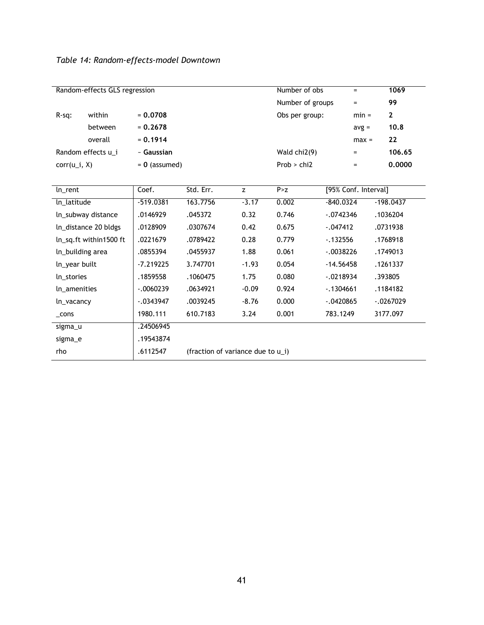| Random-effects GLS regression |                        |                 |                                   |         |                  | Number of obs |                      | 1069         |
|-------------------------------|------------------------|-----------------|-----------------------------------|---------|------------------|---------------|----------------------|--------------|
|                               |                        |                 |                                   |         | Number of groups |               | $=$                  | 99           |
| within<br>$R-sq$ :            |                        | $= 0.0708$      |                                   |         | Obs per group:   |               | $\mathbf{2}$         |              |
|                               | between                | $= 0.2678$      |                                   |         |                  |               | $avg =$              | 10.8         |
|                               | overall                | $= 0.1914$      |                                   |         |                  |               | $max =$              | 22           |
|                               | Random effects u_i     | ~ Gaussian      |                                   |         | Wald chi2(9)     |               | $\qquad \qquad =$    | 106.65       |
| $corr(u_i, X)$                |                        | $= 0$ (assumed) |                                   |         | Prob > chi2      |               | $=$                  | 0.0000       |
| In rent                       |                        | Coef.           | Std. Err.                         | z       | P > Z            |               | [95% Conf. Interval] |              |
| In_latitude                   |                        | $-519.0381$     | 163.7756                          | $-3.17$ | 0.002            | $-840.0324$   |                      | $-198.0437$  |
|                               | In_subway distance     | .0146929        | .045372                           | 0.32    | 0.746            | $-0742346$    |                      | .1036204     |
|                               | In_distance 20 bldgs   | .0128909        | .0307674                          | 0.42    | 0.675            | $-047412$     |                      | .0731938     |
|                               | ln_sq.ft within1500 ft | .0221679        | .0789422                          | 0.28    | 0.779            | $-132556$     |                      | .1768918     |
|                               | In_building area       | .0855394        | .0455937                          | 1.88    | 0.061            | $-0.0038226$  |                      | .1749013     |
| In_year built                 |                        | $-7.219225$     | 3.747701                          | $-1.93$ | 0.054            | $-14.56458$   |                      | .1261337     |
| In_stories                    |                        | .1859558        | .1060475                          | 1.75    | 0.080            | $-0218934$    |                      | .393805      |
| In_amenities                  |                        | $-.0060239$     | .0634921                          | $-0.09$ | 0.924            | $-1304661$    |                      | .1184182     |
| In_vacancy                    |                        | $-0.0343947$    | .0039245                          | $-8.76$ | 0.000            | $-.0420865$   |                      | $-0.0267029$ |
| $_{\text{-cons}}$             |                        | 1980.111        | 610.7183                          | 3.24    | 0.001            | 783.1249      |                      | 3177.097     |
| sigma_u                       |                        | .24506945       |                                   |         |                  |               |                      |              |
| sigma_e                       |                        | .19543874       |                                   |         |                  |               |                      |              |
| .6112547<br>rho               |                        |                 | (fraction of variance due to u_i) |         |                  |               |                      |              |

# Table 14: Random-effects-model Downtown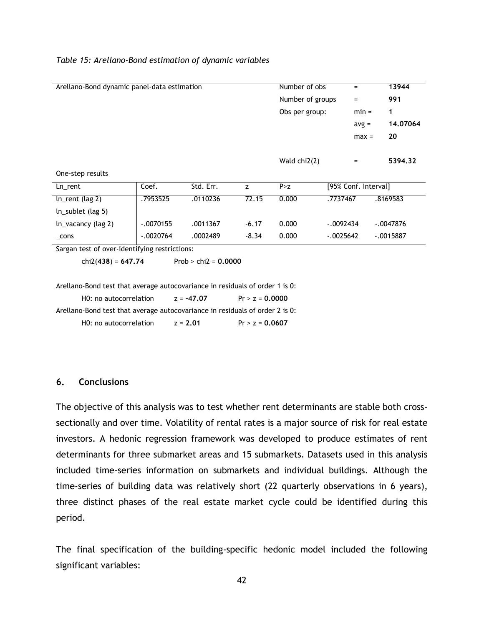| Arellano-Bond dynamic panel-data estimation                                                                                                                                                                                         | Number of obs           |                | $=$     | 13944        |             |          |                      |  |  |  |
|-------------------------------------------------------------------------------------------------------------------------------------------------------------------------------------------------------------------------------------|-------------------------|----------------|---------|--------------|-------------|----------|----------------------|--|--|--|
|                                                                                                                                                                                                                                     | Number of groups        |                | $=$     | 991          |             |          |                      |  |  |  |
|                                                                                                                                                                                                                                     |                         | Obs per group: |         | $min =$      | 1           |          |                      |  |  |  |
|                                                                                                                                                                                                                                     |                         |                |         |              |             | $avg =$  | 14.07064             |  |  |  |
|                                                                                                                                                                                                                                     |                         |                |         |              |             | $max =$  | 20                   |  |  |  |
|                                                                                                                                                                                                                                     |                         |                |         |              |             |          |                      |  |  |  |
|                                                                                                                                                                                                                                     |                         |                |         | Wald chi2(2) |             | $=$      | 5394.32              |  |  |  |
| One-step results                                                                                                                                                                                                                    |                         |                |         |              |             |          |                      |  |  |  |
| Ln rent                                                                                                                                                                                                                             | Std. Err.<br>Coef.<br>z |                |         |              |             |          | [95% Conf. Interval] |  |  |  |
| $ln$ _rent (lag 2)                                                                                                                                                                                                                  | .7953525                | .0110236       | 72.15   | 0.000        | .7737467    | .8169583 |                      |  |  |  |
| $ln$ _sublet (lag 5)                                                                                                                                                                                                                |                         |                |         |              |             |          |                      |  |  |  |
| In_vacancy (lag 2)                                                                                                                                                                                                                  | $-.0070155$             | .0011367       | $-6.17$ | 0.000        | $-.0092434$ |          | $-.0047876$          |  |  |  |
| $\_cons$                                                                                                                                                                                                                            | $-0.0020764$            | .0002489       | $-8.34$ | 0.000        | $-.0025642$ |          | $-.0015887$          |  |  |  |
| $\mathcal C$ is a simple of the set of the set of the set of the set of the set of the set of the set of the set of the set of the set of the set of the set of the set of the set of the set of the set of the set of the set of t |                         |                |         |              |             |          |                      |  |  |  |

Sargan test of over-identifying restrictions:

 $chi2(438) = 647.74$  Prob > chi2 = 0.0000

Arellano-Bond test that average autocovariance in residuals of order 1 is 0:

H0: no autocorrelation  $z = -47.07$  Pr >  $z = 0.0000$ 

Arellano-Bond test that average autocovariance in residuals of order 2 is 0:

H0: no autocorrelation  $z = 2.01$  Pr >  $z = 0.0607$ 

### 6. Conclusions

The objective of this analysis was to test whether rent determinants are stable both crosssectionally and over time. Volatility of rental rates is a major source of risk for real estate investors. A hedonic regression framework was developed to produce estimates of rent determinants for three submarket areas and 15 submarkets. Datasets used in this analysis included time-series information on submarkets and individual buildings. Although the time-series of building data was relatively short (22 quarterly observations in 6 years), three distinct phases of the real estate market cycle could be identified during this period.

The final specification of the building-specific hedonic model included the following significant variables: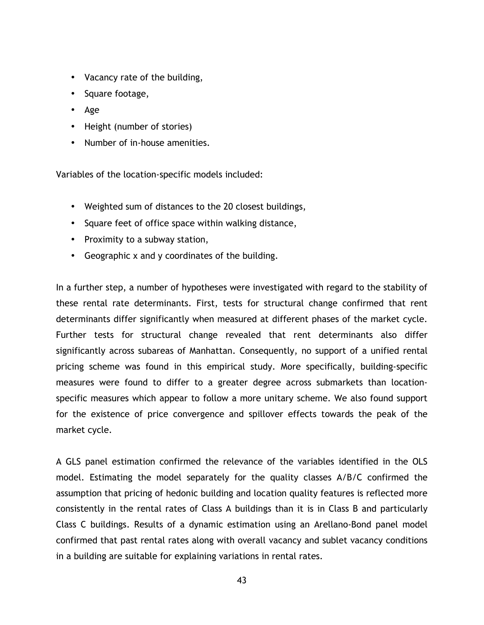- Vacancy rate of the building,
- Square footage,
- Age
- Height (number of stories)
- Number of in-house amenities.

Variables of the location-specific models included:

- Weighted sum of distances to the 20 closest buildings,
- Square feet of office space within walking distance,
- Proximity to a subway station,
- Geographic x and y coordinates of the building.

In a further step, a number of hypotheses were investigated with regard to the stability of these rental rate determinants. First, tests for structural change confirmed that rent determinants differ significantly when measured at different phases of the market cycle. Further tests for structural change revealed that rent determinants also differ significantly across subareas of Manhattan. Consequently, no support of a unified rental pricing scheme was found in this empirical study. More specifically, building-specific measures were found to differ to a greater degree across submarkets than locationspecific measures which appear to follow a more unitary scheme. We also found support for the existence of price convergence and spillover effects towards the peak of the market cycle.

A GLS panel estimation confirmed the relevance of the variables identified in the OLS model. Estimating the model separately for the quality classes A/B/C confirmed the assumption that pricing of hedonic building and location quality features is reflected more consistently in the rental rates of Class A buildings than it is in Class B and particularly Class C buildings. Results of a dynamic estimation using an Arellano-Bond panel model confirmed that past rental rates along with overall vacancy and sublet vacancy conditions in a building are suitable for explaining variations in rental rates.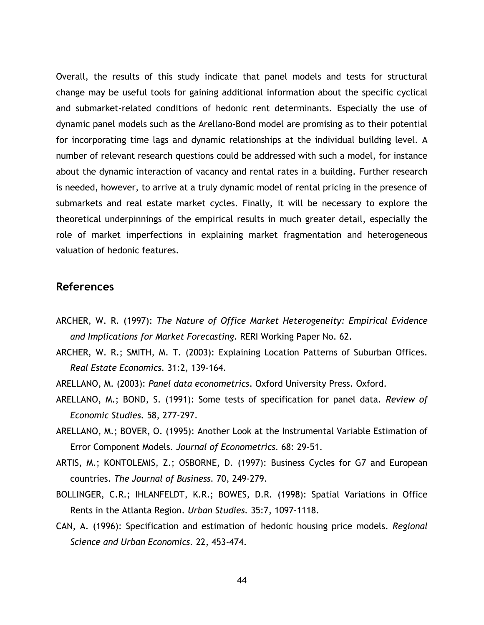Overall, the results of this study indicate that panel models and tests for structural change may be useful tools for gaining additional information about the specific cyclical and submarket-related conditions of hedonic rent determinants. Especially the use of dynamic panel models such as the Arellano-Bond model are promising as to their potential for incorporating time lags and dynamic relationships at the individual building level. A number of relevant research questions could be addressed with such a model, for instance about the dynamic interaction of vacancy and rental rates in a building. Further research is needed, however, to arrive at a truly dynamic model of rental pricing in the presence of submarkets and real estate market cycles. Finally, it will be necessary to explore the theoretical underpinnings of the empirical results in much greater detail, especially the role of market imperfections in explaining market fragmentation and heterogeneous valuation of hedonic features.

## References

- ARCHER, W. R. (1997): The Nature of Office Market Heterogeneity: Empirical Evidence and Implications for Market Forecasting. RERI Working Paper No. 62.
- ARCHER, W. R.; SMITH, M. T. (2003): Explaining Location Patterns of Suburban Offices. Real Estate Economics. 31:2, 139-164.
- ARELLANO, M. (2003): Panel data econometrics. Oxford University Press. Oxford.
- ARELLANO, M.; BOND, S. (1991): Some tests of specification for panel data. Review of Economic Studies. 58, 277-297.
- ARELLANO, M.; BOVER, O. (1995): Another Look at the Instrumental Variable Estimation of Error Component Models. Journal of Econometrics. 68: 29-51.
- ARTIS, M.; KONTOLEMIS, Z.; OSBORNE, D. (1997): Business Cycles for G7 and European countries. The Journal of Business. 70, 249-279.
- BOLLINGER, C.R.; IHLANFELDT, K.R.; BOWES, D.R. (1998): Spatial Variations in Office Rents in the Atlanta Region. Urban Studies. 35:7, 1097-1118.
- CAN, A. (1996): Specification and estimation of hedonic housing price models. Regional Science and Urban Economics. 22, 453-474.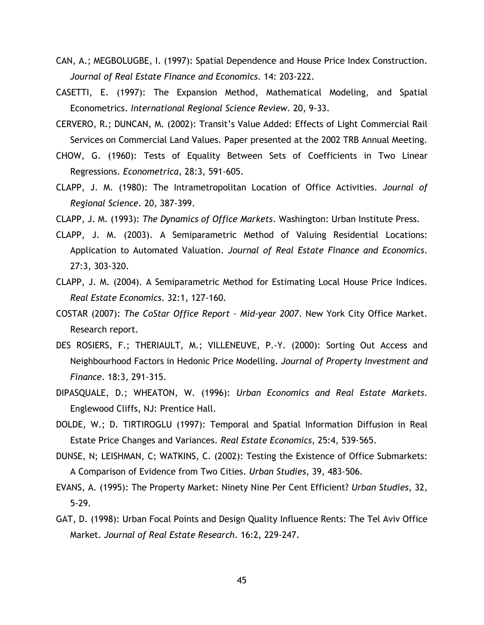- CAN, A.; MEGBOLUGBE, I. (1997): Spatial Dependence and House Price Index Construction. Journal of Real Estate Finance and Economics. 14: 203-222.
- CASETTI, E. (1997): The Expansion Method, Mathematical Modeling, and Spatial Econometrics. International Regional Science Review. 20, 9-33.
- CERVERO, R.; DUNCAN, M. (2002): Transit's Value Added: Effects of Light Commercial Rail Services on Commercial Land Values. Paper presented at the 2002 TRB Annual Meeting.
- CHOW, G. (1960): Tests of Equality Between Sets of Coefficients in Two Linear Regressions. Econometrica, 28:3, 591-605.
- CLAPP, J. M. (1980): The Intrametropolitan Location of Office Activities. Journal of Regional Science. 20, 387-399.
- CLAPP, J. M. (1993): The Dynamics of Office Markets. Washington: Urban Institute Press.
- CLAPP, J. M. (2003). A Semiparametric Method of Valuing Residential Locations: Application to Automated Valuation. Journal of Real Estate Finance and Economics. 27:3, 303-320.
- CLAPP, J. M. (2004). A Semiparametric Method for Estimating Local House Price Indices. Real Estate Economics. 32:1, 127-160.
- COSTAR (2007): The CoStar Office Report Mid-year 2007. New York City Office Market. Research report.
- DES ROSIERS, F.; THERIAULT, M.; VILLENEUVE, P.-Y. (2000): Sorting Out Access and Neighbourhood Factors in Hedonic Price Modelling. Journal of Property Investment and Finance. 18:3, 291-315.
- DIPASQUALE, D.; WHEATON, W. (1996): Urban Economics and Real Estate Markets. Englewood Cliffs, NJ: Prentice Hall.
- DOLDE, W.; D. TIRTIROGLU (1997): Temporal and Spatial Information Diffusion in Real Estate Price Changes and Variances. Real Estate Economics, 25:4, 539-565.
- DUNSE, N; LEISHMAN, C; WATKINS, C. (2002): Testing the Existence of Office Submarkets: A Comparison of Evidence from Two Cities. Urban Studies, 39, 483-506.
- EVANS, A. (1995): The Property Market: Ninety Nine Per Cent Efficient? Urban Studies, 32, 5-29.
- GAT, D. (1998): Urban Focal Points and Design Quality Influence Rents: The Tel Aviv Office Market. Journal of Real Estate Research. 16:2, 229-247.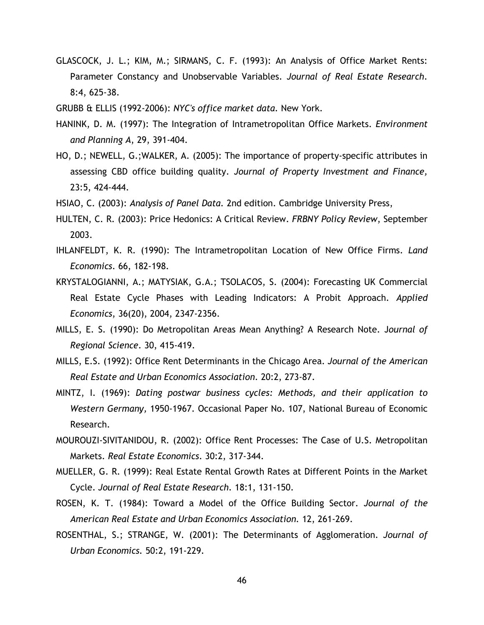- GLASCOCK, J. L.; KIM, M.; SIRMANS, C. F. (1993): An Analysis of Office Market Rents: Parameter Constancy and Unobservable Variables. Journal of Real Estate Research. 8:4, 625-38.
- GRUBB & ELLIS (1992-2006): NYC's office market data. New York.
- HANINK, D. M. (1997): The Integration of Intrametropolitan Office Markets. Environment and Planning A, 29, 391-404.
- HO, D.; NEWELL, G.;WALKER, A. (2005): The importance of property-specific attributes in assessing CBD office building quality. Journal of Property Investment and Finance, 23:5, 424-444.
- HSIAO, C. (2003): Analysis of Panel Data. 2nd edition. Cambridge University Press,
- HULTEN, C. R. (2003): Price Hedonics: A Critical Review. FRBNY Policy Review, September 2003.
- IHLANFELDT, K. R. (1990): The Intrametropolitan Location of New Office Firms. Land Economics. 66, 182-198.
- KRYSTALOGIANNI, A.; MATYSIAK, G.A.; TSOLACOS, S. (2004): Forecasting UK Commercial Real Estate Cycle Phases with Leading Indicators: A Probit Approach. Applied Economics, 36(20), 2004, 2347-2356.
- MILLS, E. S. (1990): Do Metropolitan Areas Mean Anything? A Research Note. Journal of Regional Science. 30, 415-419.
- MILLS, E.S. (1992): Office Rent Determinants in the Chicago Area. Journal of the American Real Estate and Urban Economics Association. 20:2, 273-87.
- MINTZ, I. (1969): Dating postwar business cycles: Methods, and their application to Western Germany, 1950-1967. Occasional Paper No. 107, National Bureau of Economic Research.
- MOUROUZI-SIVITANIDOU, R. (2002): Office Rent Processes: The Case of U.S. Metropolitan Markets. Real Estate Economics. 30:2, 317-344.
- MUELLER, G. R. (1999): Real Estate Rental Growth Rates at Different Points in the Market Cycle. Journal of Real Estate Research. 18:1, 131-150.
- ROSEN, K. T. (1984): Toward a Model of the Office Building Sector. Journal of the American Real Estate and Urban Economics Association. 12, 261-269.
- ROSENTHAL, S.; STRANGE, W. (2001): The Determinants of Agglomeration. Journal of Urban Economics. 50:2, 191-229.